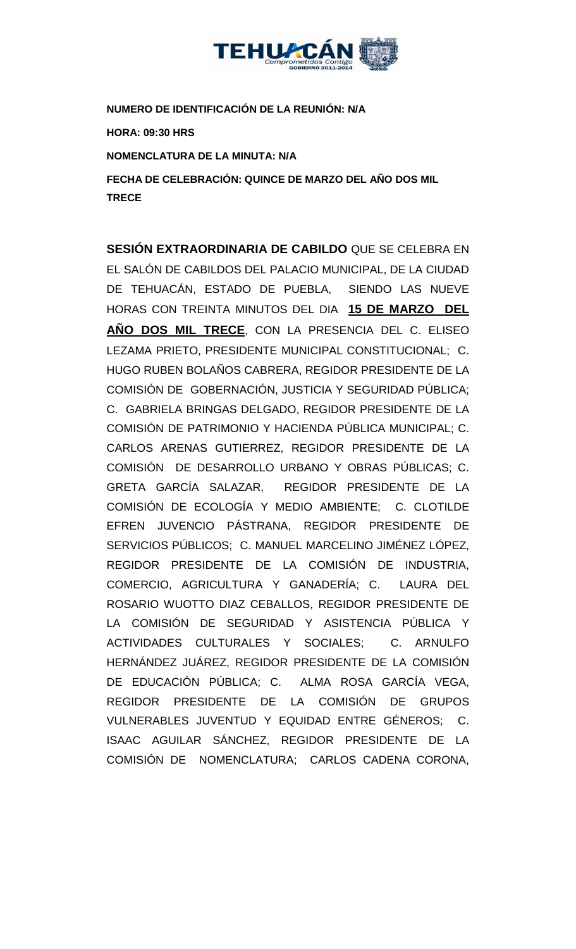

**NUMERO DE IDENTIFICACIÓN DE LA REUNIÓN: N/A**

**HORA: 09:30 HRS**

**NOMENCLATURA DE LA MINUTA: N/A**

**FECHA DE CELEBRACIÓN: QUINCE DE MARZO DEL AÑO DOS MIL TRECE** 

**SESIÓN EXTRAORDINARIA DE CABILDO** QUE SE CELEBRA EN EL SALÓN DE CABILDOS DEL PALACIO MUNICIPAL, DE LA CIUDAD DE TEHUACÁN, ESTADO DE PUEBLA, SIENDO LAS NUEVE HORAS CON TREINTA MINUTOS DEL DIA **15 DE MARZO DEL AÑO DOS MIL TRECE**, CON LA PRESENCIA DEL C. ELISEO LEZAMA PRIETO, PRESIDENTE MUNICIPAL CONSTITUCIONAL; C. HUGO RUBEN BOLAÑOS CABRERA, REGIDOR PRESIDENTE DE LA COMISIÓN DE GOBERNACIÓN, JUSTICIA Y SEGURIDAD PÚBLICA; C. GABRIELA BRINGAS DELGADO, REGIDOR PRESIDENTE DE LA COMISIÓN DE PATRIMONIO Y HACIENDA PÚBLICA MUNICIPAL; C. CARLOS ARENAS GUTIERREZ, REGIDOR PRESIDENTE DE LA COMISIÓN DE DESARROLLO URBANO Y OBRAS PÚBLICAS; C. GRETA GARCÍA SALAZAR, REGIDOR PRESIDENTE DE LA COMISIÓN DE ECOLOGÍA Y MEDIO AMBIENTE; C. CLOTILDE EFREN JUVENCIO PÁSTRANA, REGIDOR PRESIDENTE DE SERVICIOS PÚBLICOS; C. MANUEL MARCELINO JIMÉNEZ LÓPEZ, REGIDOR PRESIDENTE DE LA COMISIÓN DE INDUSTRIA, COMERCIO, AGRICULTURA Y GANADERÍA; C. LAURA DEL ROSARIO WUOTTO DIAZ CEBALLOS, REGIDOR PRESIDENTE DE LA COMISIÓN DE SEGURIDAD Y ASISTENCIA PÚBLICA Y ACTIVIDADES CULTURALES Y SOCIALES; C. ARNULFO HERNÁNDEZ JUÁREZ, REGIDOR PRESIDENTE DE LA COMISIÓN DE EDUCACIÓN PÚBLICA; C. ALMA ROSA GARCÍA VEGA, REGIDOR PRESIDENTE DE LA COMISIÓN DE GRUPOS VULNERABLES JUVENTUD Y EQUIDAD ENTRE GÉNEROS; C. ISAAC AGUILAR SÁNCHEZ, REGIDOR PRESIDENTE DE LA COMISIÓN DE NOMENCLATURA; CARLOS CADENA CORONA,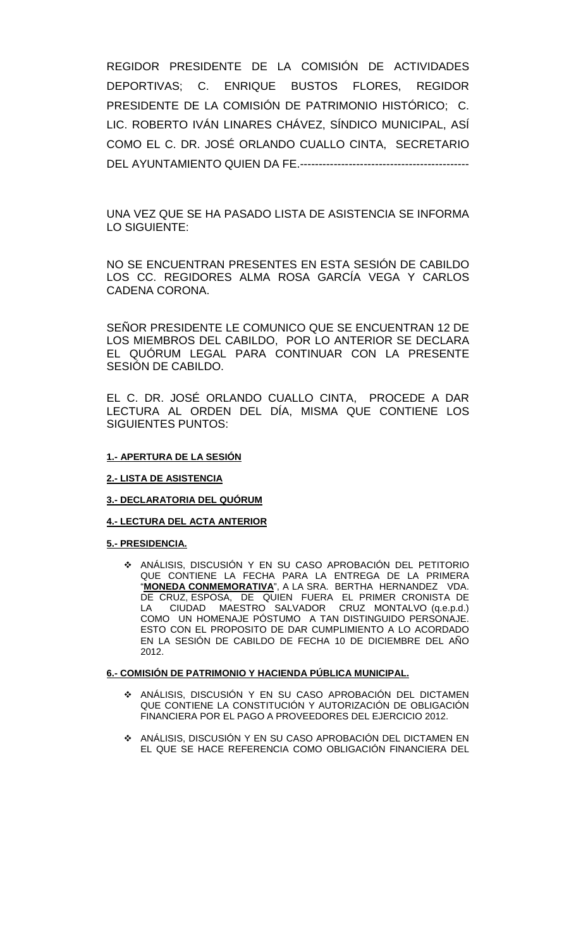REGIDOR PRESIDENTE DE LA COMISIÓN DE ACTIVIDADES DEPORTIVAS; C. ENRIQUE BUSTOS FLORES, REGIDOR PRESIDENTE DE LA COMISIÓN DE PATRIMONIO HISTÓRICO; C. LIC. ROBERTO IVÁN LINARES CHÁVEZ, SÍNDICO MUNICIPAL, ASÍ COMO EL C. DR. JOSÉ ORLANDO CUALLO CINTA, SECRETARIO DEL AYUNTAMIENTO QUIEN DA FE.---------------------------------------------

UNA VEZ QUE SE HA PASADO LISTA DE ASISTENCIA SE INFORMA LO SIGUIENTE:

NO SE ENCUENTRAN PRESENTES EN ESTA SESIÓN DE CABILDO LOS CC. REGIDORES ALMA ROSA GARCÍA VEGA Y CARLOS CADENA CORONA.

SEÑOR PRESIDENTE LE COMUNICO QUE SE ENCUENTRAN 12 DE LOS MIEMBROS DEL CABILDO, POR LO ANTERIOR SE DECLARA EL QUÓRUM LEGAL PARA CONTINUAR CON LA PRESENTE SESIÓN DE CABILDO.

EL C. DR. JOSÉ ORLANDO CUALLO CINTA, PROCEDE A DAR LECTURA AL ORDEN DEL DÍA, MISMA QUE CONTIENE LOS SIGUIENTES PUNTOS:

### **1.- APERTURA DE LA SESIÓN**

#### **2.- LISTA DE ASISTENCIA**

### **3.- DECLARATORIA DEL QUÓRUM**

#### **4.- LECTURA DEL ACTA ANTERIOR**

#### **5.- PRESIDENCIA.**

 ANÁLISIS, DISCUSIÓN Y EN SU CASO APROBACIÓN DEL PETITORIO QUE CONTIENE LA FECHA PARA LA ENTREGA DE LA PRIMERA "**MONEDA CONMEMORATIVA**", A LA SRA. BERTHA HERNANDEZ VDA. DE CRUZ, ESPOSA, DE QUIEN FUERA EL PRIMER CRONISTA DE LA CIUDAD MAESTRO SALVADOR CRUZ MONTALVO (q.e.p.d.) COMO UN HOMENAJE PÓSTUMO A TAN DISTINGUIDO PERSONAJE. ESTO CON EL PROPOSITO DE DAR CUMPLIMIENTO A LO ACORDADO EN LA SESIÓN DE CABILDO DE FECHA 10 DE DICIEMBRE DEL AÑO 2012.

#### **6.- COMISIÓN DE PATRIMONIO Y HACIENDA PÚBLICA MUNICIPAL.**

- ANÁLISIS, DISCUSIÓN Y EN SU CASO APROBACIÓN DEL DICTAMEN QUE CONTIENE LA CONSTITUCIÓN Y AUTORIZACIÓN DE OBLIGACIÓN FINANCIERA POR EL PAGO A PROVEEDORES DEL EJERCICIO 2012.
- ANÁLISIS, DISCUSIÓN Y EN SU CASO APROBACIÓN DEL DICTAMEN EN EL QUE SE HACE REFERENCIA COMO OBLIGACIÓN FINANCIERA DEL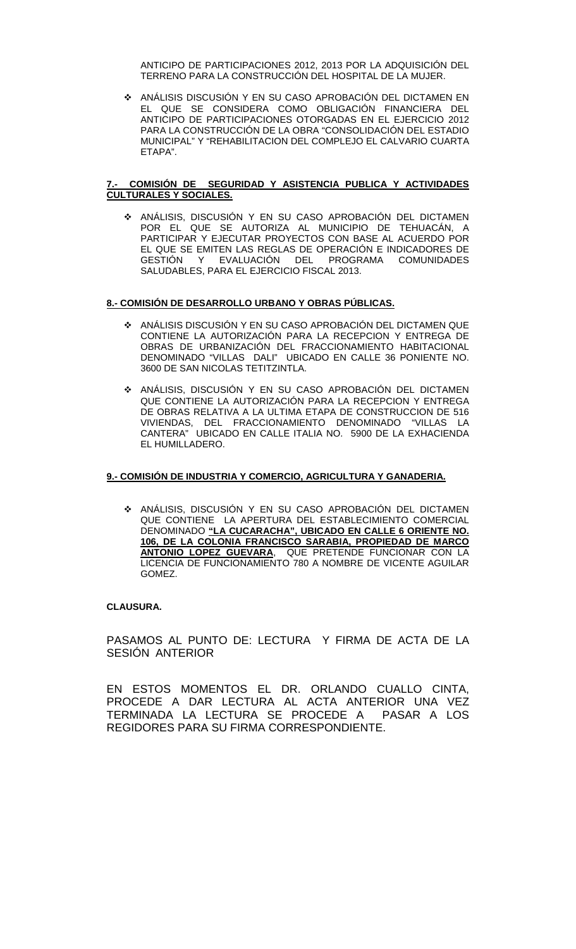ANTICIPO DE PARTICIPACIONES 2012, 2013 POR LA ADQUISICIÓN DEL TERRENO PARA LA CONSTRUCCIÓN DEL HOSPITAL DE LA MUJER.

 ANÁLISIS DISCUSIÓN Y EN SU CASO APROBACIÓN DEL DICTAMEN EN EL QUE SE CONSIDERA COMO OBLIGACIÓN FINANCIERA DEL ANTICIPO DE PARTICIPACIONES OTORGADAS EN EL EJERCICIO 2012 PARA LA CONSTRUCCIÓN DE LA OBRA "CONSOLIDACIÓN DEL ESTADIO MUNICIPAL" Y "REHABILITACION DEL COMPLEJO EL CALVARIO CUARTA ETAPA".

### **7.- COMISIÓN DE SEGURIDAD Y ASISTENCIA PUBLICA Y ACTIVIDADES CULTURALES Y SOCIALES.**

 ANÁLISIS, DISCUSIÓN Y EN SU CASO APROBACIÓN DEL DICTAMEN POR EL QUE SE AUTORIZA AL MUNICIPIO DE TEHUACÁN, A PARTICIPAR Y EJECUTAR PROYECTOS CON BASE AL ACUERDO POR EL QUE SE EMITEN LAS REGLAS DE OPERACIÓN E INDICADORES DE<br>GESTIÓN X XEVALUACIÓN DEL PROGRAMA COMUNIDADES Y EVALUACIÓN DEL PROGRAMA COMUNIDADES SALUDABLES, PARA EL EJERCICIO FISCAL 2013.

### **8.- COMISIÓN DE DESARROLLO URBANO Y OBRAS PÚBLICAS.**

- ANÁLISIS DISCUSIÓN Y EN SU CASO APROBACIÓN DEL DICTAMEN QUE CONTIENE LA AUTORIZACIÓN PARA LA RECEPCION Y ENTREGA DE OBRAS DE URBANIZACIÓN DEL FRACCIONAMIENTO HABITACIONAL DENOMINADO "VILLAS DALI" UBICADO EN CALLE 36 PONIENTE NO. 3600 DE SAN NICOLAS TETITZINTLA.
- ANÁLISIS, DISCUSIÓN Y EN SU CASO APROBACIÓN DEL DICTAMEN QUE CONTIENE LA AUTORIZACIÓN PARA LA RECEPCION Y ENTREGA DE OBRAS RELATIVA A LA ULTIMA ETAPA DE CONSTRUCCION DE 516 VIVIENDAS, DEL FRACCIONAMIENTO DENOMINADO "VILLAS LA CANTERA" UBICADO EN CALLE ITALIA NO. 5900 DE LA EXHACIENDA EL HUMILLADERO.

### **9.- COMISIÓN DE INDUSTRIA Y COMERCIO, AGRICULTURA Y GANADERIA.**

 ANÁLISIS, DISCUSIÓN Y EN SU CASO APROBACIÓN DEL DICTAMEN QUE CONTIENE LA APERTURA DEL ESTABLECIMIENTO COMERCIAL DENOMINADO **"LA CUCARACHA", UBICADO EN CALLE 6 ORIENTE NO. 106, DE LA COLONIA FRANCISCO SARABIA, PROPIEDAD DE MARCO ANTONIO LOPEZ GUEVARA**, QUE PRETENDE FUNCIONAR CON LA LICENCIA DE FUNCIONAMIENTO 780 A NOMBRE DE VICENTE AGUILAR GOMEZ.

### **CLAUSURA.**

PASAMOS AL PUNTO DE: LECTURA Y FIRMA DE ACTA DE LA SESIÓN ANTERIOR

EN ESTOS MOMENTOS EL DR. ORLANDO CUALLO CINTA, PROCEDE A DAR LECTURA AL ACTA ANTERIOR UNA VEZ TERMINADA LA LECTURA SE PROCEDE A PASAR A LOS REGIDORES PARA SU FIRMA CORRESPONDIENTE.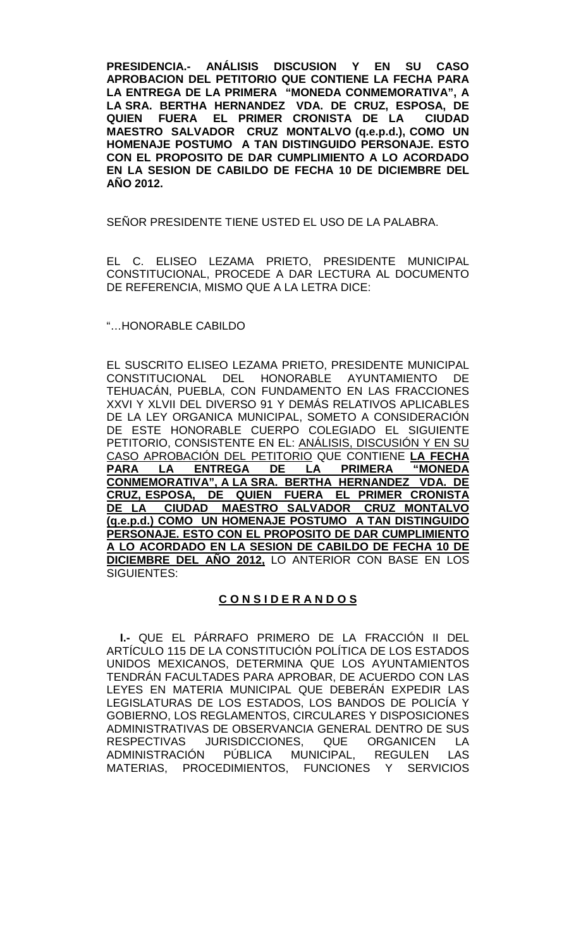**PRESIDENCIA.- ANÁLISIS DISCUSION Y EN SU CASO APROBACION DEL PETITORIO QUE CONTIENE LA FECHA PARA LA ENTREGA DE LA PRIMERA "MONEDA CONMEMORATIVA", A LA SRA. BERTHA HERNANDEZ VDA. DE CRUZ, ESPOSA, DE QUIEN FUERA EL PRIMER CRONISTA DE LA CIUDAD MAESTRO SALVADOR CRUZ MONTALVO (q.e.p.d.), COMO UN HOMENAJE POSTUMO A TAN DISTINGUIDO PERSONAJE. ESTO CON EL PROPOSITO DE DAR CUMPLIMIENTO A LO ACORDADO EN LA SESION DE CABILDO DE FECHA 10 DE DICIEMBRE DEL AÑO 2012.**

SEÑOR PRESIDENTE TIENE USTED EL USO DE LA PALABRA.

EL C. ELISEO LEZAMA PRIETO, PRESIDENTE MUNICIPAL CONSTITUCIONAL, PROCEDE A DAR LECTURA AL DOCUMENTO DE REFERENCIA, MISMO QUE A LA LETRA DICE:

### "…HONORABLE CABILDO

EL SUSCRITO ELISEO LEZAMA PRIETO, PRESIDENTE MUNICIPAL CONSTITUCIONAL DEL HONORABLE AYUNTAMIENTO DE TEHUACÁN, PUEBLA, CON FUNDAMENTO EN LAS FRACCIONES XXVI Y XLVII DEL DIVERSO 91 Y DEMÁS RELATIVOS APLICABLES DE LA LEY ORGANICA MUNICIPAL, SOMETO A CONSIDERACIÓN DE ESTE HONORABLE CUERPO COLEGIADO EL SIGUIENTE PETITORIO, CONSISTENTE EN EL: ANÁLISIS, DISCUSIÓN Y EN SU CASO APROBACIÓN DEL PETITORIO QUE CONTIENE **LA FECHA**  LA ENTREGA DE LA PRIMERA **CONMEMORATIVA", A LA SRA. BERTHA HERNANDEZ VDA. DE CRUZ, ESPOSA, DE QUIEN FUERA EL PRIMER CRONISTA DE LA CIUDAD MAESTRO SALVADOR CRUZ MONTALVO (q.e.p.d.) COMO UN HOMENAJE POSTUMO A TAN DISTINGUIDO PERSONAJE. ESTO CON EL PROPOSITO DE DAR CUMPLIMIENTO A LO ACORDADO EN LA SESION DE CABILDO DE FECHA 10 DE DICIEMBRE DEL AÑO 2012,** LO ANTERIOR CON BASE EN LOS SIGUIENTES:

## **C O N S I D E R A N D O S**

**I.-** QUE EL PÁRRAFO PRIMERO DE LA FRACCIÓN II DEL ARTÍCULO 115 DE LA CONSTITUCIÓN POLÍTICA DE LOS ESTADOS UNIDOS MEXICANOS, DETERMINA QUE LOS AYUNTAMIENTOS TENDRÁN FACULTADES PARA APROBAR, DE ACUERDO CON LAS LEYES EN MATERIA MUNICIPAL QUE DEBERÁN EXPEDIR LAS LEGISLATURAS DE LOS ESTADOS, LOS BANDOS DE POLICÍA Y GOBIERNO, LOS REGLAMENTOS, CIRCULARES Y DISPOSICIONES ADMINISTRATIVAS DE OBSERVANCIA GENERAL DENTRO DE SUS RESPECTIVAS JURISDICCIONES, QUE ORGANICEN LA ADMINISTRACIÓN PÚBLICA MUNICIPAL, REGULEN LAS MATERIAS, PROCEDIMIENTOS, FUNCIONES Y SERVICIOS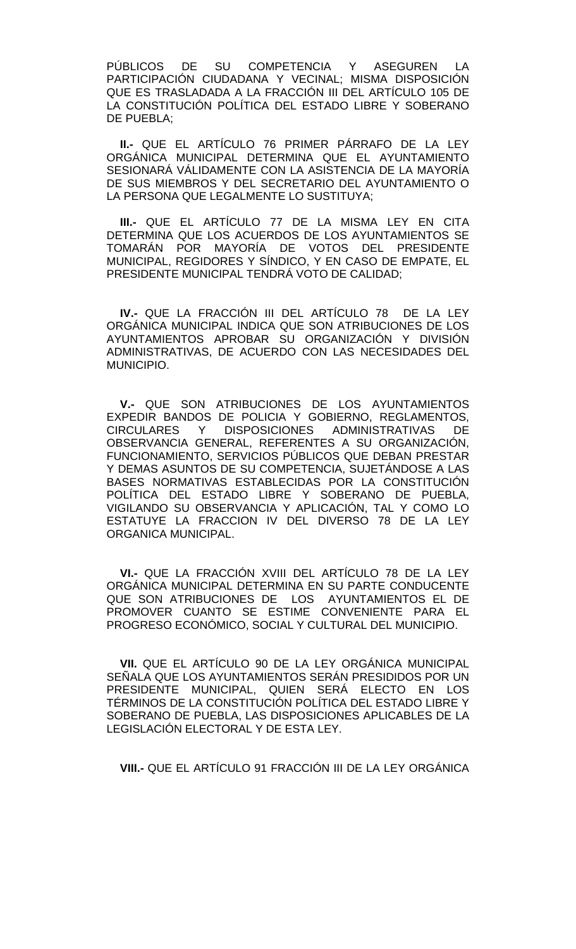PÚBLICOS DE SU COMPETENCIA Y ASEGUREN LA PARTICIPACIÓN CIUDADANA Y VECINAL; MISMA DISPOSICIÓN QUE ES TRASLADADA A LA FRACCIÓN III DEL ARTÍCULO 105 DE LA CONSTITUCIÓN POLÍTICA DEL ESTADO LIBRE Y SOBERANO DE PUEBLA;

**II.-** QUE EL ARTÍCULO 76 PRIMER PÁRRAFO DE LA LEY ORGÁNICA MUNICIPAL DETERMINA QUE EL AYUNTAMIENTO SESIONARÁ VÁLIDAMENTE CON LA ASISTENCIA DE LA MAYORÍA DE SUS MIEMBROS Y DEL SECRETARIO DEL AYUNTAMIENTO O LA PERSONA QUE LEGALMENTE LO SUSTITUYA;

**III.-** QUE EL ARTÍCULO 77 DE LA MISMA LEY EN CITA DETERMINA QUE LOS ACUERDOS DE LOS AYUNTAMIENTOS SE TOMARÁN POR MAYORÍA DE VOTOS DEL PRESIDENTE MUNICIPAL, REGIDORES Y SÍNDICO, Y EN CASO DE EMPATE, EL PRESIDENTE MUNICIPAL TENDRÁ VOTO DE CALIDAD;

**IV.-** QUE LA FRACCIÓN III DEL ARTÍCULO 78 DE LA LEY ORGÁNICA MUNICIPAL INDICA QUE SON ATRIBUCIONES DE LOS AYUNTAMIENTOS APROBAR SU ORGANIZACIÓN Y DIVISIÓN ADMINISTRATIVAS, DE ACUERDO CON LAS NECESIDADES DEL MUNICIPIO.

**V.-** QUE SON ATRIBUCIONES DE LOS AYUNTAMIENTOS EXPEDIR BANDOS DE POLICIA Y GOBIERNO, REGLAMENTOS, CIRCULARES Y DISPOSICIONES ADMINISTRATIVAS DE OBSERVANCIA GENERAL, REFERENTES A SU ORGANIZACIÓN, FUNCIONAMIENTO, SERVICIOS PÚBLICOS QUE DEBAN PRESTAR Y DEMAS ASUNTOS DE SU COMPETENCIA, SUJETÁNDOSE A LAS BASES NORMATIVAS ESTABLECIDAS POR LA CONSTITUCIÓN POLÍTICA DEL ESTADO LIBRE Y SOBERANO DE PUEBLA, VIGILANDO SU OBSERVANCIA Y APLICACIÓN, TAL Y COMO LO ESTATUYE LA FRACCION IV DEL DIVERSO 78 DE LA LEY ORGANICA MUNICIPAL.

**VI.-** QUE LA FRACCIÓN XVIII DEL ARTÍCULO 78 DE LA LEY ORGÁNICA MUNICIPAL DETERMINA EN SU PARTE CONDUCENTE QUE SON ATRIBUCIONES DE LOS AYUNTAMIENTOS EL DE PROMOVER CUANTO SE ESTIME CONVENIENTE PARA EL PROGRESO ECONÓMICO, SOCIAL Y CULTURAL DEL MUNICIPIO.

**VII.** QUE EL ARTÍCULO 90 DE LA LEY ORGÁNICA MUNICIPAL SEÑALA QUE LOS AYUNTAMIENTOS SERÁN PRESIDIDOS POR UN PRESIDENTE MUNICIPAL, QUIEN SERÁ ELECTO EN LOS TÉRMINOS DE LA CONSTITUCIÓN POLÍTICA DEL ESTADO LIBRE Y SOBERANO DE PUEBLA, LAS DISPOSICIONES APLICABLES DE LA LEGISLACIÓN ELECTORAL Y DE ESTA LEY.

**VIII.-** QUE EL ARTÍCULO 91 FRACCIÓN III DE LA LEY ORGÁNICA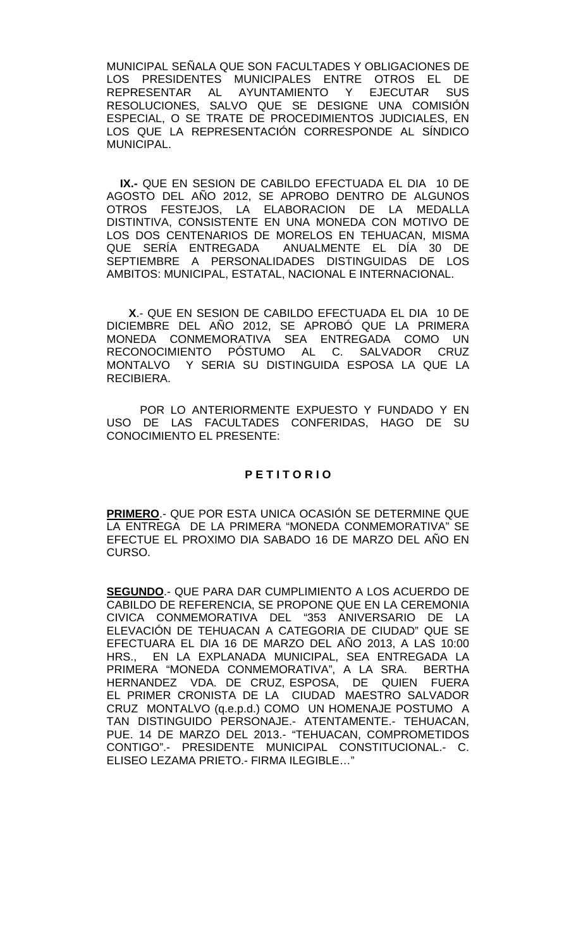MUNICIPAL SEÑALA QUE SON FACULTADES Y OBLIGACIONES DE LOS PRESIDENTES MUNICIPALES ENTRE OTROS EL DE<br>REPRESENTAR AL AYUNTAMIENTO Y EJECUTAR SUS AYUNTAMIENTO RESOLUCIONES, SALVO QUE SE DESIGNE UNA COMISIÓN ESPECIAL, O SE TRATE DE PROCEDIMIENTOS JUDICIALES, EN LOS QUE LA REPRESENTACIÓN CORRESPONDE AL SÍNDICO MUNICIPAL.

**IX.-** QUE EN SESION DE CABILDO EFECTUADA EL DIA 10 DE AGOSTO DEL AÑO 2012, SE APROBO DENTRO DE ALGUNOS OTROS FESTEJOS, LA ELABORACION DE LA MEDALLA DISTINTIVA, CONSISTENTE EN UNA MONEDA CON MOTIVO DE LOS DOS CENTENARIOS DE MORELOS EN TEHUACAN, MISMA<br>QUE SERÍA ENTREGADA ANUALMENTE EL DÍA 30 DE ANUALMENTE EL DÍA 30 DE SEPTIEMBRE A PERSONALIDADES DISTINGUIDAS DE LOS AMBITOS: MUNICIPAL, ESTATAL, NACIONAL E INTERNACIONAL.

 **X**.- QUE EN SESION DE CABILDO EFECTUADA EL DIA 10 DE DICIEMBRE DEL AÑO 2012, SE APROBÓ QUE LA PRIMERA MONEDA CONMEMORATIVA SEA ENTREGADA COMO UN RECONOCIMIENTO PÓSTUMO AL C. SALVADOR CRUZ MONTALVO Y SERIA SU DISTINGUIDA ESPOSA LA QUE LA RECIBIERA.

POR LO ANTERIORMENTE EXPUESTO Y FUNDADO Y EN USO DE LAS FACULTADES CONFERIDAS, HAGO DE SU CONOCIMIENTO EL PRESENTE:

# **P E T I T O R I O**

**PRIMERO**.- QUE POR ESTA UNICA OCASIÓN SE DETERMINE QUE LA ENTREGA DE LA PRIMERA "MONEDA CONMEMORATIVA" SE EFECTUE EL PROXIMO DIA SABADO 16 DE MARZO DEL AÑO EN CURSO.

**SEGUNDO**.- QUE PARA DAR CUMPLIMIENTO A LOS ACUERDO DE CABILDO DE REFERENCIA, SE PROPONE QUE EN LA CEREMONIA CIVICA CONMEMORATIVA DEL "353 ANIVERSARIO DE LA ELEVACIÓN DE TEHUACAN A CATEGORIA DE CIUDAD" QUE SE EFECTUARA EL DIA 16 DE MARZO DEL AÑO 2013, A LAS 10:00 HRS., EN LA EXPLANADA MUNICIPAL, SEA ENTREGADA LA PRIMERA "MONEDA CONMEMORATIVA", A LA SRA. BERTHA HERNANDEZ VDA. DE CRUZ, ESPOSA, DE QUIEN FUERA EL PRIMER CRONISTA DE LA CIUDAD MAESTRO SALVADOR CRUZ MONTALVO (q.e.p.d.) COMO UN HOMENAJE POSTUMO A TAN DISTINGUIDO PERSONAJE.- ATENTAMENTE.- TEHUACAN, PUE. 14 DE MARZO DEL 2013.- "TEHUACAN, COMPROMETIDOS CONTIGO".- PRESIDENTE MUNICIPAL CONSTITUCIONAL.- C. ELISEO LEZAMA PRIETO.- FIRMA ILEGIBLE…"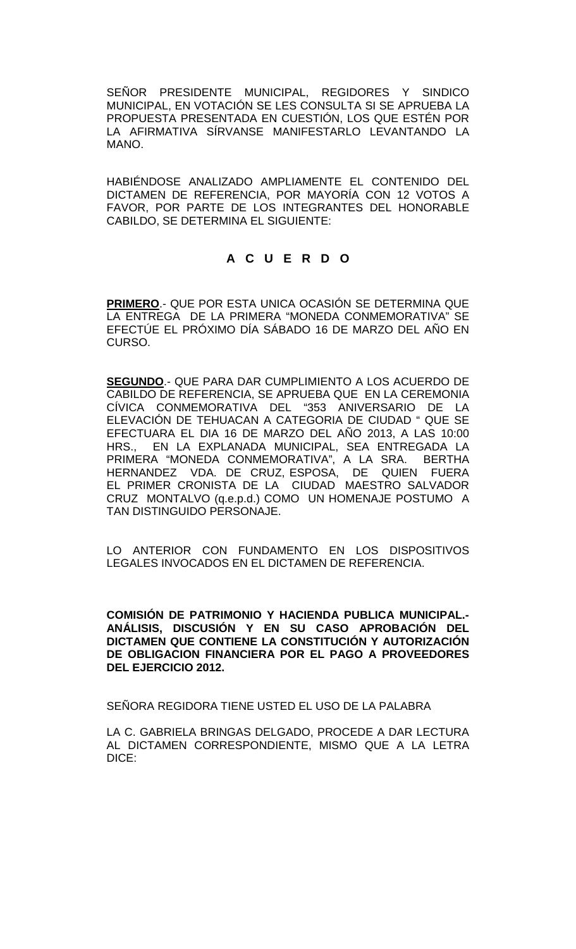SEÑOR PRESIDENTE MUNICIPAL, REGIDORES Y SINDICO MUNICIPAL, EN VOTACIÓN SE LES CONSULTA SI SE APRUEBA LA PROPUESTA PRESENTADA EN CUESTIÓN, LOS QUE ESTÉN POR LA AFIRMATIVA SÍRVANSE MANIFESTARLO LEVANTANDO LA MANO.

HABIÉNDOSE ANALIZADO AMPLIAMENTE EL CONTENIDO DEL DICTAMEN DE REFERENCIA, POR MAYORÍA CON 12 VOTOS A FAVOR, POR PARTE DE LOS INTEGRANTES DEL HONORABLE CABILDO, SE DETERMINA EL SIGUIENTE:

# **A C U E R D O**

**PRIMERO**.- QUE POR ESTA UNICA OCASIÓN SE DETERMINA QUE LA ENTREGA DE LA PRIMERA "MONEDA CONMEMORATIVA" SE EFECTÚE EL PRÓXIMO DÍA SÁBADO 16 DE MARZO DEL AÑO EN CURSO.

**SEGUNDO**.- QUE PARA DAR CUMPLIMIENTO A LOS ACUERDO DE CABILDO DE REFERENCIA, SE APRUEBA QUE EN LA CEREMONIA CÍVICA CONMEMORATIVA DEL "353 ANIVERSARIO DE LA ELEVACIÓN DE TEHUACAN A CATEGORIA DE CIUDAD " QUE SE EFECTUARA EL DIA 16 DE MARZO DEL AÑO 2013, A LAS 10:00 HRS., EN LA EXPLANADA MUNICIPAL, SEA ENTREGADA LA PRIMERA "MONEDA CONMEMORATIVA", A LA SRA. BERTHA HERNANDEZ VDA. DE CRUZ, ESPOSA, DE QUIEN FUERA EL PRIMER CRONISTA DE LA CIUDAD MAESTRO SALVADOR CRUZ MONTALVO (q.e.p.d.) COMO UN HOMENAJE POSTUMO A TAN DISTINGUIDO PERSONAJE.

LO ANTERIOR CON FUNDAMENTO EN LOS DISPOSITIVOS LEGALES INVOCADOS EN EL DICTAMEN DE REFERENCIA.

**COMISIÓN DE PATRIMONIO Y HACIENDA PUBLICA MUNICIPAL.- ANÁLISIS, DISCUSIÓN Y EN SU CASO APROBACIÓN DEL DICTAMEN QUE CONTIENE LA CONSTITUCIÓN Y AUTORIZACIÓN DE OBLIGACION FINANCIERA POR EL PAGO A PROVEEDORES DEL EJERCICIO 2012.**

SEÑORA REGIDORA TIENE USTED EL USO DE LA PALABRA

LA C. GABRIELA BRINGAS DELGADO, PROCEDE A DAR LECTURA AL DICTAMEN CORRESPONDIENTE, MISMO QUE A LA LETRA DICE: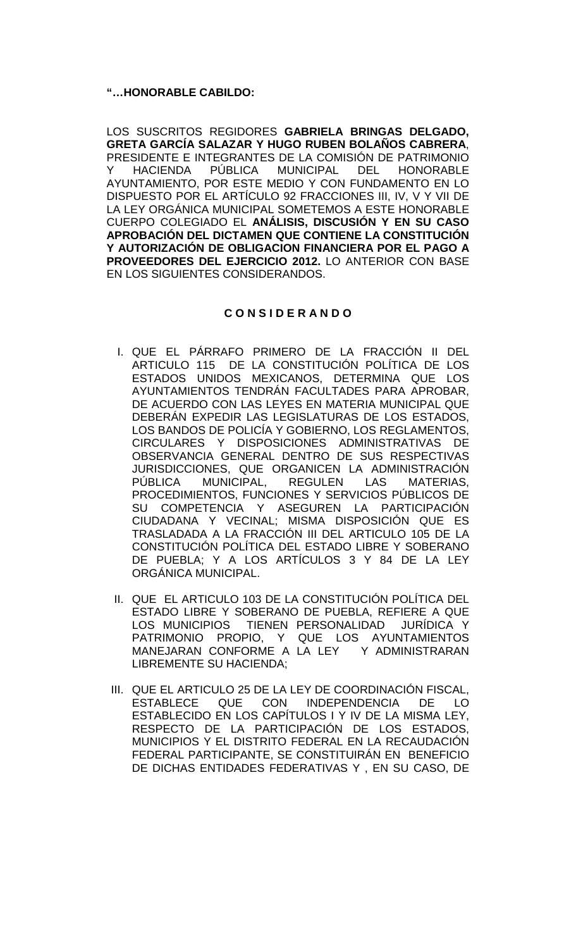## **"…HONORABLE CABILDO:**

LOS SUSCRITOS REGIDORES **GABRIELA BRINGAS DELGADO, GRETA GARCÍA SALAZAR Y HUGO RUBEN BOLAÑOS CABRERA**, PRESIDENTE E INTEGRANTES DE LA COMISIÓN DE PATRIMONIO Y HACIENDA PÚBLICA MUNICIPAL DEL HONORABLE AYUNTAMIENTO, POR ESTE MEDIO Y CON FUNDAMENTO EN LO DISPUESTO POR EL ARTÍCULO 92 FRACCIONES III, IV, V Y VII DE LA LEY ORGÁNICA MUNICIPAL SOMETEMOS A ESTE HONORABLE CUERPO COLEGIADO EL **ANÁLISIS, DISCUSIÓN Y EN SU CASO APROBACIÓN DEL DICTAMEN QUE CONTIENE LA CONSTITUCIÓN Y AUTORIZACIÓN DE OBLIGACION FINANCIERA POR EL PAGO A PROVEEDORES DEL EJERCICIO 2012.** LO ANTERIOR CON BASE EN LOS SIGUIENTES CONSIDERANDOS.

# **C O N S I D E R A N D O**

- I. QUE EL PÁRRAFO PRIMERO DE LA FRACCIÓN II DEL ARTICULO 115 DE LA CONSTITUCIÓN POLÍTICA DE LOS ESTADOS UNIDOS MEXICANOS, DETERMINA QUE LOS AYUNTAMIENTOS TENDRÁN FACULTADES PARA APROBAR, DE ACUERDO CON LAS LEYES EN MATERIA MUNICIPAL QUE DEBERÁN EXPEDIR LAS LEGISLATURAS DE LOS ESTADOS, LOS BANDOS DE POLICÍA Y GOBIERNO, LOS REGLAMENTOS, CIRCULARES Y DISPOSICIONES ADMINISTRATIVAS DE OBSERVANCIA GENERAL DENTRO DE SUS RESPECTIVAS JURISDICCIONES, QUE ORGANICEN LA ADMINISTRACIÓN<br>PÚBLICA MUNICIPAL, REGULEN LAS MATERIAS, PÚBLICA MUNICIPAL, REGULEN LAS MATERIAS, PROCEDIMIENTOS, FUNCIONES Y SERVICIOS PÚBLICOS DE SU COMPETENCIA Y ASEGUREN LA PARTICIPACIÓN CIUDADANA Y VECINAL; MISMA DISPOSICIÓN QUE ES TRASLADADA A LA FRACCIÓN III DEL ARTICULO 105 DE LA CONSTITUCIÓN POLÍTICA DEL ESTADO LIBRE Y SOBERANO DE PUEBLA; Y A LOS ARTÍCULOS 3 Y 84 DE LA LEY ORGÁNICA MUNICIPAL.
- II. QUE EL ARTICULO 103 DE LA CONSTITUCIÓN POLÍTICA DEL ESTADO LIBRE Y SOBERANO DE PUEBLA, REFIERE A QUE<br>LOS MUNICIPIOS TIENEN PERSONALIDAD JURÍDICA Y LOS MUNICIPIOS TIENEN PERSONALIDAD PATRIMONIO PROPIO, Y QUE LOS AYUNTAMIENTOS MANEJARAN CONFORME A LA LEY Y ADMINISTRARAN LIBREMENTE SU HACIENDA;
- III. QUE EL ARTICULO 25 DE LA LEY DE COORDINACIÓN FISCAL, ESTABLECE QUE CON INDEPENDENCIA DE LO ESTABLECIDO EN LOS CAPÍTULOS I Y IV DE LA MISMA LEY, RESPECTO DE LA PARTICIPACIÓN DE LOS ESTADOS, MUNICIPIOS Y EL DISTRITO FEDERAL EN LA RECAUDACIÓN FEDERAL PARTICIPANTE, SE CONSTITUIRÁN EN BENEFICIO DE DICHAS ENTIDADES FEDERATIVAS Y , EN SU CASO, DE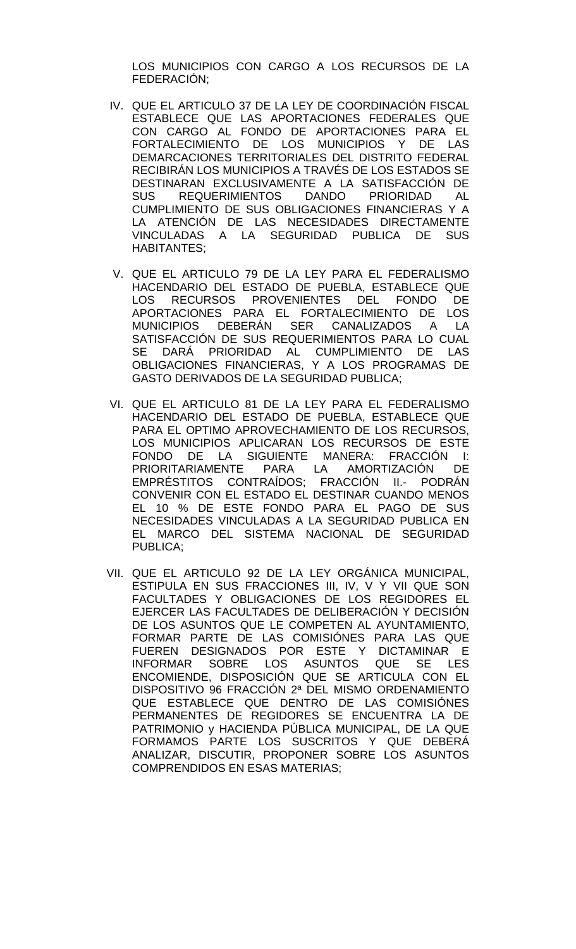LOS MUNICIPIOS CON CARGO A LOS RECURSOS DE LA FEDERACIÓN;

- IV. QUE EL ARTICULO 37 DE LA LEY DE COORDINACIÓN FISCAL ESTABLECE QUE LAS APORTACIONES FEDERALES QUE CON CARGO AL FONDO DE APORTACIONES PARA EL FORTALECIMIENTO DE LOS MUNICIPIOS Y DE LAS DEMARCACIONES TERRITORIALES DEL DISTRITO FEDERAL RECIBIRÁN LOS MUNICIPIOS A TRAVÉS DE LOS ESTADOS SE DESTINARAN EXCLUSIVAMENTE A LA SATISFACCIÓN DE<br>SUS REQUERIMIENTOS DANDO PRIORIDAD AL SUS REQUERIMIENTOS DANDO PRIORIDAD AL CUMPLIMIENTO DE SUS OBLIGACIONES FINANCIERAS Y A LA ATENCIÓN DE LAS NECESIDADES DIRECTAMENTE VINCULADAS A LA SEGURIDAD PUBLICA DE SUS HABITANTES;
- V. QUE EL ARTICULO 79 DE LA LEY PARA EL FEDERALISMO HACENDARIO DEL ESTADO DE PUEBLA, ESTABLECE QUE LOS RECURSOS PROVENIENTES DEL FONDO DE APORTACIONES PARA EL FORTALECIMIENTO DE LOS MUNICIPIOS DEBERÁN SER CANALIZADOS A LA SATISFACCIÓN DE SUS REQUERIMIENTOS PARA LO CUAL SE DARÁ PRIORIDAD AL CUMPLIMIENTO DE LAS OBLIGACIONES FINANCIERAS, Y A LOS PROGRAMAS DE GASTO DERIVADOS DE LA SEGURIDAD PUBLICA;
- VI. QUE EL ARTICULO 81 DE LA LEY PARA EL FEDERALISMO HACENDARIO DEL ESTADO DE PUEBLA, ESTABLECE QUE PARA EL OPTIMO APROVECHAMIENTO DE LOS RECURSOS, LOS MUNICIPIOS APLICARAN LOS RECURSOS DE ESTE FONDO DE LA SIGUIENTE MANERA: FRACCIÓN I: PRIORITARIAMENTE PARA LA AMORTIZACIÓN DE EMPRÉSTITOS CONTRAÍDOS; FRACCIÓN II.- PODRÁN CONVENIR CON EL ESTADO EL DESTINAR CUANDO MENOS EL 10 % DE ESTE FONDO PARA EL PAGO DE SUS NECESIDADES VINCULADAS A LA SEGURIDAD PUBLICA EN EL MARCO DEL SISTEMA NACIONAL DE SEGURIDAD PUBLICA;
- VII. QUE EL ARTICULO 92 DE LA LEY ORGÁNICA MUNICIPAL, ESTIPULA EN SUS FRACCIONES III, IV, V Y VII QUE SON FACULTADES Y OBLIGACIONES DE LOS REGIDORES EL EJERCER LAS FACULTADES DE DELIBERACIÓN Y DECISIÓN DE LOS ASUNTOS QUE LE COMPETEN AL AYUNTAMIENTO, FORMAR PARTE DE LAS COMISIÓNES PARA LAS QUE FUEREN DESIGNADOS POR ESTE Y DICTAMINAR E INFORMAR SOBRE LOS ASUNTOS QUE SE LES ENCOMIENDE, DISPOSICIÓN QUE SE ARTICULA CON EL DISPOSITIVO 96 FRACCIÓN 2ª DEL MISMO ORDENAMIENTO QUE ESTABLECE QUE DENTRO DE LAS COMISIÓNES PERMANENTES DE REGIDORES SE ENCUENTRA LA DE PATRIMONIO y HACIENDA PÚBLICA MUNICIPAL, DE LA QUE FORMAMOS PARTE LOS SUSCRITOS Y QUE DEBERÁ ANALIZAR, DISCUTIR, PROPONER SOBRE LOS ASUNTOS COMPRENDIDOS EN ESAS MATERIAS;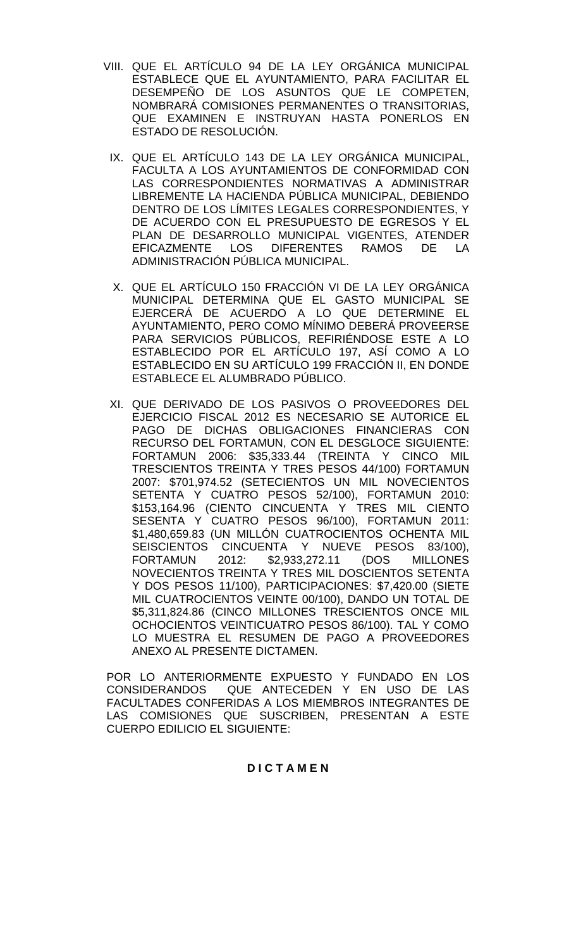- VIII. QUE EL ARTÍCULO 94 DE LA LEY ORGÁNICA MUNICIPAL ESTABLECE QUE EL AYUNTAMIENTO, PARA FACILITAR EL DESEMPEÑO DE LOS ASUNTOS QUE LE COMPETEN, NOMBRARÁ COMISIONES PERMANENTES O TRANSITORIAS, QUE EXAMINEN E INSTRUYAN HASTA PONERLOS EN ESTADO DE RESOLUCIÓN.
- IX. QUE EL ARTÍCULO 143 DE LA LEY ORGÁNICA MUNICIPAL, FACULTA A LOS AYUNTAMIENTOS DE CONFORMIDAD CON LAS CORRESPONDIENTES NORMATIVAS A ADMINISTRAR LIBREMENTE LA HACIENDA PÚBLICA MUNICIPAL, DEBIENDO DENTRO DE LOS LÍMITES LEGALES CORRESPONDIENTES, Y DE ACUERDO CON EL PRESUPUESTO DE EGRESOS Y EL PLAN DE DESARROLLO MUNICIPAL VIGENTES, ATENDER<br>EFICAZMENTE LOS DIFERENTES RAMOS DE LA DIFERENTES RAMOS DE LA ADMINISTRACIÓN PÚBLICA MUNICIPAL.
- X. QUE EL ARTÍCULO 150 FRACCIÓN VI DE LA LEY ORGÁNICA MUNICIPAL DETERMINA QUE EL GASTO MUNICIPAL SE EJERCERÁ DE ACUERDO A LO QUE DETERMINE EL AYUNTAMIENTO, PERO COMO MÍNIMO DEBERÁ PROVEERSE PARA SERVICIOS PÚBLICOS, REFIRIÉNDOSE ESTE A LO ESTABLECIDO POR EL ARTÍCULO 197, ASÍ COMO A LO ESTABLECIDO EN SU ARTÍCULO 199 FRACCIÓN II, EN DONDE ESTABLECE EL ALUMBRADO PÚBLICO.
- XI. QUE DERIVADO DE LOS PASIVOS O PROVEEDORES DEL EJERCICIO FISCAL 2012 ES NECESARIO SE AUTORICE EL PAGO DE DICHAS OBLIGACIONES FINANCIERAS CON RECURSO DEL FORTAMUN, CON EL DESGLOCE SIGUIENTE: FORTAMUN 2006: \$35,333.44 (TREINTA Y CINCO MIL TRESCIENTOS TREINTA Y TRES PESOS 44/100) FORTAMUN 2007: \$701,974.52 (SETECIENTOS UN MIL NOVECIENTOS SETENTA Y CUATRO PESOS 52/100), FORTAMUN 2010: \$153,164.96 (CIENTO CINCUENTA Y TRES MIL CIENTO SESENTA Y CUATRO PESOS 96/100), FORTAMUN 2011: \$1,480,659.83 (UN MILLÓN CUATROCIENTOS OCHENTA MIL SEISCIENTOS CINCUENTA Y NUEVE PESOS 83/100),<br>FORTAMUN 2012: \$2,933,272.11 (DOS MILLONES \$2,933,272.11 NOVECIENTOS TREINTA Y TRES MIL DOSCIENTOS SETENTA Y DOS PESOS 11/100), PARTICIPACIONES: \$7,420.00 (SIETE MIL CUATROCIENTOS VEINTE 00/100), DANDO UN TOTAL DE \$5,311,824.86 (CINCO MILLONES TRESCIENTOS ONCE MIL OCHOCIENTOS VEINTICUATRO PESOS 86/100). TAL Y COMO LO MUESTRA EL RESUMEN DE PAGO A PROVEEDORES ANEXO AL PRESENTE DICTAMEN.

POR LO ANTERIORMENTE EXPUESTO Y FUNDADO EN LOS CONSIDERANDOS QUE ANTECEDEN Y EN USO DE LAS FACULTADES CONFERIDAS A LOS MIEMBROS INTEGRANTES DE LAS COMISIONES QUE SUSCRIBEN, PRESENTAN A ESTE CUERPO EDILICIO EL SIGUIENTE:

# **D I C T A M E N**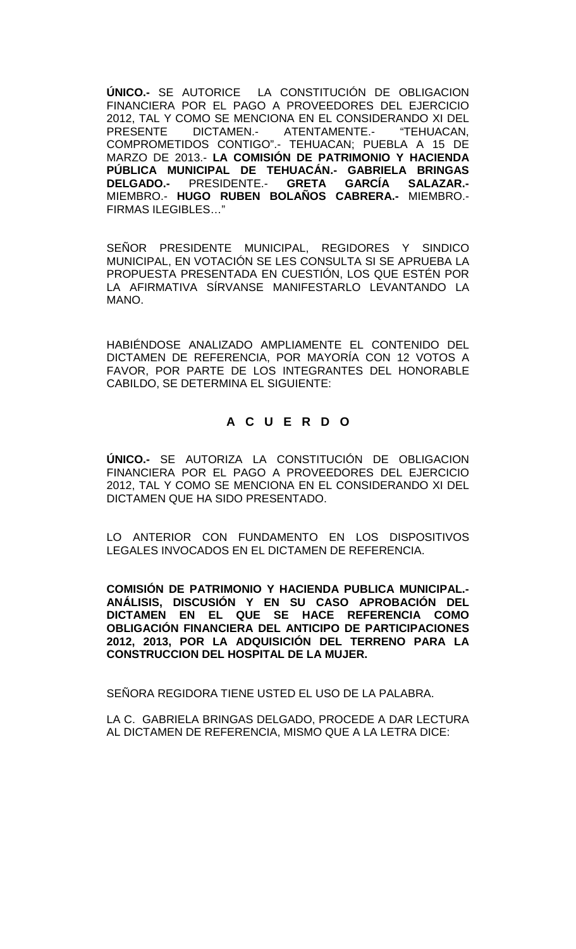**ÚNICO.-** SE AUTORICE LA CONSTITUCIÓN DE OBLIGACION FINANCIERA POR EL PAGO A PROVEEDORES DEL EJERCICIO 2012, TAL Y COMO SE MENCIONA EN EL CONSIDERANDO XI DEL<br>PRESENTE DICTAMEN.- ATENTAMENTE.- "TEHUACAN, ATENTAMENTE.-COMPROMETIDOS CONTIGO".- TEHUACAN; PUEBLA A 15 DE MARZO DE 2013.- **LA COMISIÓN DE PATRIMONIO Y HACIENDA PÚBLICA MUNICIPAL DE TEHUACÁN.- GABRIELA BRINGAS DELGADO.- PRESIDENTE.-**MIEMBRO.- **HUGO RUBEN BOLAÑOS CABRERA.-** MIEMBRO.- FIRMAS ILEGIBLES…"

SEÑOR PRESIDENTE MUNICIPAL, REGIDORES Y SINDICO MUNICIPAL, EN VOTACIÓN SE LES CONSULTA SI SE APRUEBA LA PROPUESTA PRESENTADA EN CUESTIÓN, LOS QUE ESTÉN POR LA AFIRMATIVA SÍRVANSE MANIFESTARLO LEVANTANDO LA MANO.

HABIÉNDOSE ANALIZADO AMPLIAMENTE EL CONTENIDO DEL DICTAMEN DE REFERENCIA, POR MAYORÍA CON 12 VOTOS A FAVOR, POR PARTE DE LOS INTEGRANTES DEL HONORABLE CABILDO, SE DETERMINA EL SIGUIENTE:

# **A C U E R D O**

**ÚNICO.-** SE AUTORIZA LA CONSTITUCIÓN DE OBLIGACION FINANCIERA POR EL PAGO A PROVEEDORES DEL EJERCICIO 2012, TAL Y COMO SE MENCIONA EN EL CONSIDERANDO XI DEL DICTAMEN QUE HA SIDO PRESENTADO.

LO ANTERIOR CON FUNDAMENTO EN LOS DISPOSITIVOS LEGALES INVOCADOS EN EL DICTAMEN DE REFERENCIA.

**COMISIÓN DE PATRIMONIO Y HACIENDA PUBLICA MUNICIPAL.- ANÁLISIS, DISCUSIÓN Y EN SU CASO APROBACIÓN DEL DICTAMEN EN EL QUE SE HACE REFERENCIA COMO OBLIGACIÓN FINANCIERA DEL ANTICIPO DE PARTICIPACIONES 2012, 2013, POR LA ADQUISICIÓN DEL TERRENO PARA LA CONSTRUCCION DEL HOSPITAL DE LA MUJER.**

SEÑORA REGIDORA TIENE USTED EL USO DE LA PALABRA.

LA C. GABRIELA BRINGAS DELGADO, PROCEDE A DAR LECTURA AL DICTAMEN DE REFERENCIA, MISMO QUE A LA LETRA DICE: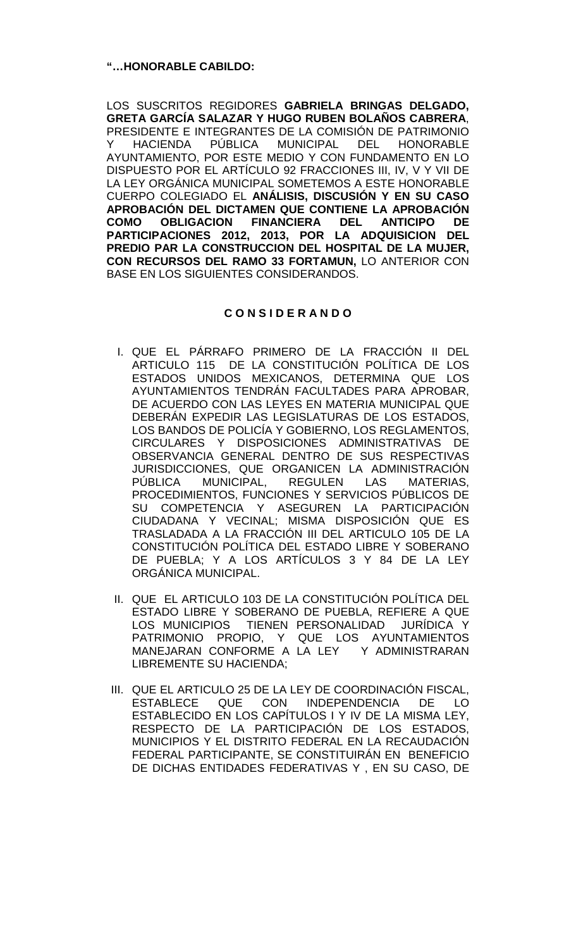# **"…HONORABLE CABILDO:**

LOS SUSCRITOS REGIDORES **GABRIELA BRINGAS DELGADO, GRETA GARCÍA SALAZAR Y HUGO RUBEN BOLAÑOS CABRERA**, PRESIDENTE E INTEGRANTES DE LA COMISIÓN DE PATRIMONIO Y HACIENDA PÚBLICA MUNICIPAL DEL HONORABLE AYUNTAMIENTO, POR ESTE MEDIO Y CON FUNDAMENTO EN LO DISPUESTO POR EL ARTÍCULO 92 FRACCIONES III, IV, V Y VII DE LA LEY ORGÁNICA MUNICIPAL SOMETEMOS A ESTE HONORABLE CUERPO COLEGIADO EL **ANÁLISIS, DISCUSIÓN Y EN SU CASO APROBACIÓN DEL DICTAMEN QUE CONTIENE LA APROBACIÓN COMO OBLIGACION FINANCIERA DEL ANTICIPO DE PARTICIPACIONES 2012, 2013, POR LA ADQUISICION DEL PREDIO PAR LA CONSTRUCCION DEL HOSPITAL DE LA MUJER, CON RECURSOS DEL RAMO 33 FORTAMUN,** LO ANTERIOR CON BASE EN LOS SIGUIENTES CONSIDERANDOS.

# **C O N S I D E R A N D O**

- I. QUE EL PÁRRAFO PRIMERO DE LA FRACCIÓN II DEL ARTICULO 115 DE LA CONSTITUCIÓN POLÍTICA DE LOS ESTADOS UNIDOS MEXICANOS, DETERMINA QUE LOS AYUNTAMIENTOS TENDRÁN FACULTADES PARA APROBAR, DE ACUERDO CON LAS LEYES EN MATERIA MUNICIPAL QUE DEBERÁN EXPEDIR LAS LEGISLATURAS DE LOS ESTADOS, LOS BANDOS DE POLICÍA Y GOBIERNO, LOS REGLAMENTOS, CIRCULARES Y DISPOSICIONES ADMINISTRATIVAS DE OBSERVANCIA GENERAL DENTRO DE SUS RESPECTIVAS JURISDICCIONES, QUE ORGANICEN LA ADMINISTRACIÓN PÚBLICA MUNICIPAL, REGULEN LAS MATERIAS, PROCEDIMIENTOS, FUNCIONES Y SERVICIOS PÚBLICOS DE SU COMPETENCIA Y ASEGUREN LA PARTICIPACIÓN CIUDADANA Y VECINAL; MISMA DISPOSICIÓN QUE ES TRASLADADA A LA FRACCIÓN III DEL ARTICULO 105 DE LA CONSTITUCIÓN POLÍTICA DEL ESTADO LIBRE Y SOBERANO DE PUEBLA; Y A LOS ARTÍCULOS 3 Y 84 DE LA LEY ORGÁNICA MUNICIPAL.
- II. QUE EL ARTICULO 103 DE LA CONSTITUCIÓN POLÍTICA DEL ESTADO LIBRE Y SOBERANO DE PUEBLA, REFIERE A QUE LOS MUNICIPIOS TIENEN PERSONALIDAD JURÍDICA Y PATRIMONIO PROPIO, Y QUE LOS AYUNTAMIENTOS MANEJARAN CONFORME A LA LEY Y ADMINISTRARAN LIBREMENTE SU HACIENDA;
- III. QUE EL ARTICULO 25 DE LA LEY DE COORDINACIÓN FISCAL, ESTABLECE QUE CON INDEPENDENCIA DE LO ESTABLECIDO EN LOS CAPÍTULOS I Y IV DE LA MISMA LEY, RESPECTO DE LA PARTICIPACIÓN DE LOS ESTADOS, MUNICIPIOS Y EL DISTRITO FEDERAL EN LA RECAUDACIÓN FEDERAL PARTICIPANTE, SE CONSTITUIRÁN EN BENEFICIO DE DICHAS ENTIDADES FEDERATIVAS Y , EN SU CASO, DE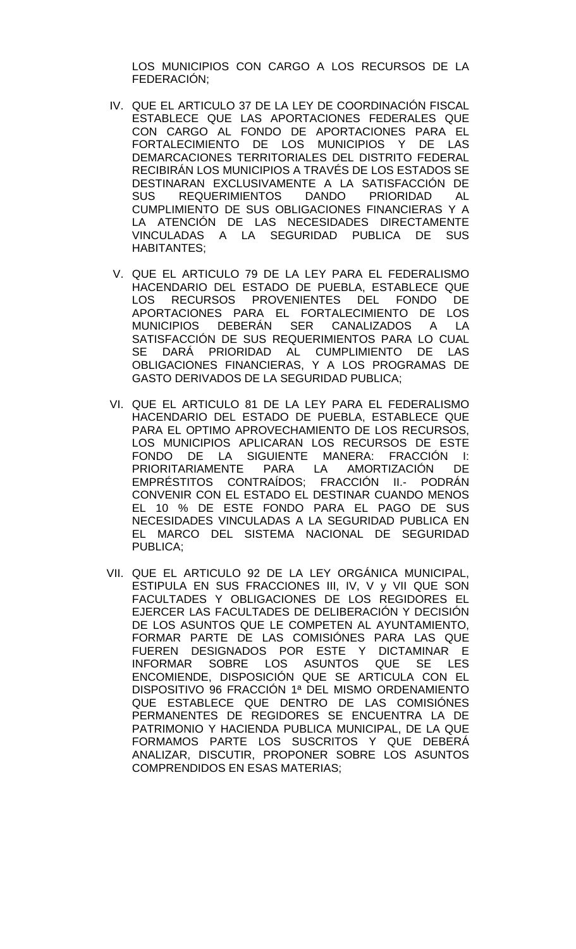LOS MUNICIPIOS CON CARGO A LOS RECURSOS DE LA FEDERACIÓN;

- IV. QUE EL ARTICULO 37 DE LA LEY DE COORDINACIÓN FISCAL ESTABLECE QUE LAS APORTACIONES FEDERALES QUE CON CARGO AL FONDO DE APORTACIONES PARA EL FORTALECIMIENTO DE LOS MUNICIPIOS Y DE LAS DEMARCACIONES TERRITORIALES DEL DISTRITO FEDERAL RECIBIRÁN LOS MUNICIPIOS A TRAVÉS DE LOS ESTADOS SE DESTINARAN EXCLUSIVAMENTE A LA SATISFACCIÓN DE<br>SUS REQUERIMIENTOS DANDO PRIORIDAD AL SUS REQUERIMIENTOS DANDO PRIORIDAD AL CUMPLIMIENTO DE SUS OBLIGACIONES FINANCIERAS Y A LA ATENCIÓN DE LAS NECESIDADES DIRECTAMENTE VINCULADAS A LA SEGURIDAD PUBLICA DE SUS HABITANTES;
- V. QUE EL ARTICULO 79 DE LA LEY PARA EL FEDERALISMO HACENDARIO DEL ESTADO DE PUEBLA, ESTABLECE QUE LOS RECURSOS PROVENIENTES DEL FONDO DE APORTACIONES PARA EL FORTALECIMIENTO DE LOS MUNICIPIOS DEBERÁN SER CANALIZADOS A LA SATISFACCIÓN DE SUS REQUERIMIENTOS PARA LO CUAL SE DARÁ PRIORIDAD AL CUMPLIMIENTO DE LAS OBLIGACIONES FINANCIERAS, Y A LOS PROGRAMAS DE GASTO DERIVADOS DE LA SEGURIDAD PUBLICA;
- VI. QUE EL ARTICULO 81 DE LA LEY PARA EL FEDERALISMO HACENDARIO DEL ESTADO DE PUEBLA, ESTABLECE QUE PARA EL OPTIMO APROVECHAMIENTO DE LOS RECURSOS, LOS MUNICIPIOS APLICARAN LOS RECURSOS DE ESTE FONDO DE LA SIGUIENTE MANERA: FRACCIÓN I: PRIORITARIAMENTE PARA LA AMORTIZACIÓN DE EMPRÉSTITOS CONTRAÍDOS; FRACCIÓN II.- PODRÁN CONVENIR CON EL ESTADO EL DESTINAR CUANDO MENOS EL 10 % DE ESTE FONDO PARA EL PAGO DE SUS NECESIDADES VINCULADAS A LA SEGURIDAD PUBLICA EN EL MARCO DEL SISTEMA NACIONAL DE SEGURIDAD PUBLICA;
- VII. QUE EL ARTICULO 92 DE LA LEY ORGÁNICA MUNICIPAL, ESTIPULA EN SUS FRACCIONES III, IV, V y VII QUE SON FACULTADES Y OBLIGACIONES DE LOS REGIDORES EL EJERCER LAS FACULTADES DE DELIBERACIÓN Y DECISIÓN DE LOS ASUNTOS QUE LE COMPETEN AL AYUNTAMIENTO, FORMAR PARTE DE LAS COMISIÓNES PARA LAS QUE FUEREN DESIGNADOS POR ESTE Y DICTAMINAR E INFORMAR SOBRE LOS ASUNTOS QUE SE LES ENCOMIENDE, DISPOSICIÓN QUE SE ARTICULA CON EL DISPOSITIVO 96 FRACCIÓN 1ª DEL MISMO ORDENAMIENTO QUE ESTABLECE QUE DENTRO DE LAS COMISIÓNES PERMANENTES DE REGIDORES SE ENCUENTRA LA DE PATRIMONIO Y HACIENDA PUBLICA MUNICIPAL, DE LA QUE FORMAMOS PARTE LOS SUSCRITOS Y QUE DEBERÁ ANALIZAR, DISCUTIR, PROPONER SOBRE LOS ASUNTOS COMPRENDIDOS EN ESAS MATERIAS;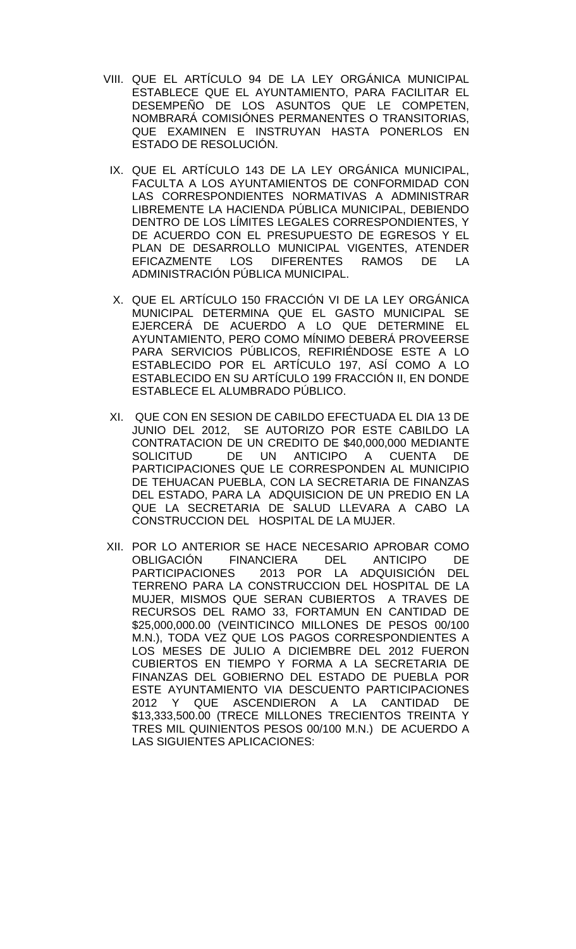- VIII. QUE EL ARTÍCULO 94 DE LA LEY ORGÁNICA MUNICIPAL ESTABLECE QUE EL AYUNTAMIENTO, PARA FACILITAR EL DESEMPEÑO DE LOS ASUNTOS QUE LE COMPETEN, NOMBRARÁ COMISIÓNES PERMANENTES O TRANSITORIAS, QUE EXAMINEN E INSTRUYAN HASTA PONERLOS EN ESTADO DE RESOLUCIÓN.
	- IX. QUE EL ARTÍCULO 143 DE LA LEY ORGÁNICA MUNICIPAL, FACULTA A LOS AYUNTAMIENTOS DE CONFORMIDAD CON LAS CORRESPONDIENTES NORMATIVAS A ADMINISTRAR LIBREMENTE LA HACIENDA PÚBLICA MUNICIPAL, DEBIENDO DENTRO DE LOS LÍMITES LEGALES CORRESPONDIENTES, Y DE ACUERDO CON EL PRESUPUESTO DE EGRESOS Y EL PLAN DE DESARROLLO MUNICIPAL VIGENTES, ATENDER<br>EFICAZMENTE LOS DIFERENTES RAMOS DE LA EFICAZMENTE LOS DIFERENTES RAMOS DE LA ADMINISTRACIÓN PÚBLICA MUNICIPAL.
	- X. QUE EL ARTÍCULO 150 FRACCIÓN VI DE LA LEY ORGÁNICA MUNICIPAL DETERMINA QUE EL GASTO MUNICIPAL SE EJERCERÁ DE ACUERDO A LO QUE DETERMINE EL AYUNTAMIENTO, PERO COMO MÍNIMO DEBERÁ PROVEERSE PARA SERVICIOS PÚBLICOS, REFIRIÉNDOSE ESTE A LO ESTABLECIDO POR EL ARTÍCULO 197, ASÍ COMO A LO ESTABLECIDO EN SU ARTÍCULO 199 FRACCIÓN II, EN DONDE ESTABLECE EL ALUMBRADO PÚBLICO.
	- XI. QUE CON EN SESION DE CABILDO EFECTUADA EL DIA 13 DE JUNIO DEL 2012, SE AUTORIZO POR ESTE CABILDO LA CONTRATACION DE UN CREDITO DE \$40,000,000 MEDIANTE DE UN ANTICIPO A CUENTA PARTICIPACIONES QUE LE CORRESPONDEN AL MUNICIPIO DE TEHUACAN PUEBLA, CON LA SECRETARIA DE FINANZAS DEL ESTADO, PARA LA ADQUISICION DE UN PREDIO EN LA QUE LA SECRETARIA DE SALUD LLEVARA A CABO LA CONSTRUCCION DEL HOSPITAL DE LA MUJER.
- XII. POR LO ANTERIOR SE HACE NECESARIO APROBAR COMO<br>OBLIGACIÓN FINANCIERA DEL ANTICIPO DE FINANCIERA DEL ANTICIPO DE PARTICIPACIONES 2013 POR LA ADQUISICIÓN DEL TERRENO PARA LA CONSTRUCCION DEL HOSPITAL DE LA MUJER, MISMOS QUE SERAN CUBIERTOS A TRAVES DE RECURSOS DEL RAMO 33, FORTAMUN EN CANTIDAD DE \$25,000,000.00 (VEINTICINCO MILLONES DE PESOS 00/100 M.N.), TODA VEZ QUE LOS PAGOS CORRESPONDIENTES A LOS MESES DE JULIO A DICIEMBRE DEL 2012 FUERON CUBIERTOS EN TIEMPO Y FORMA A LA SECRETARIA DE FINANZAS DEL GOBIERNO DEL ESTADO DE PUEBLA POR ESTE AYUNTAMIENTO VIA DESCUENTO PARTICIPACIONES 2012 Y QUE ASCENDIERON A LA CANTIDAD DE \$13,333,500.00 (TRECE MILLONES TRECIENTOS TREINTA Y TRES MIL QUINIENTOS PESOS 00/100 M.N.) DE ACUERDO A LAS SIGUIENTES APLICACIONES: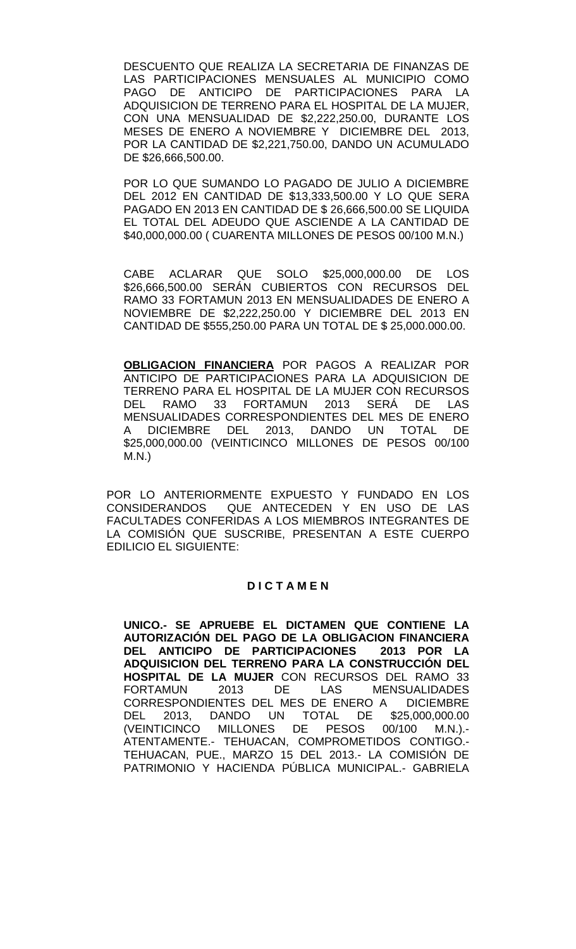DESCUENTO QUE REALIZA LA SECRETARIA DE FINANZAS DE LAS PARTICIPACIONES MENSUALES AL MUNICIPIO COMO ANTICIPO DE PARTICIPACIONES PARA LA ADQUISICION DE TERRENO PARA EL HOSPITAL DE LA MUJER, CON UNA MENSUALIDAD DE \$2,222,250.00, DURANTE LOS MESES DE ENERO A NOVIEMBRE Y DICIEMBRE DEL 2013, POR LA CANTIDAD DE \$2,221,750.00, DANDO UN ACUMULADO DE \$26,666,500.00.

POR LO QUE SUMANDO LO PAGADO DE JULIO A DICIEMBRE DEL 2012 EN CANTIDAD DE \$13,333,500.00 Y LO QUE SERA PAGADO EN 2013 EN CANTIDAD DE \$ 26,666,500.00 SE LIQUIDA EL TOTAL DEL ADEUDO QUE ASCIENDE A LA CANTIDAD DE \$40,000,000.00 ( CUARENTA MILLONES DE PESOS 00/100 M.N.)

CABE ACLARAR QUE SOLO \$25,000,000.00 DE LOS \$26,666,500.00 SERÁN CUBIERTOS CON RECURSOS DEL RAMO 33 FORTAMUN 2013 EN MENSUALIDADES DE ENERO A NOVIEMBRE DE \$2,222,250.00 Y DICIEMBRE DEL 2013 EN CANTIDAD DE \$555,250.00 PARA UN TOTAL DE \$ 25,000.000.00.

**OBLIGACION FINANCIERA** POR PAGOS A REALIZAR POR ANTICIPO DE PARTICIPACIONES PARA LA ADQUISICION DE TERRENO PARA EL HOSPITAL DE LA MUJER CON RECURSOS DEL RAMO 33 FORTAMUN 2013 SERÁ DE LAS MENSUALIDADES CORRESPONDIENTES DEL MES DE ENERO A DICIEMBRE DEL 2013, DANDO UN TOTAL DE \$25,000,000.00 (VEINTICINCO MILLONES DE PESOS 00/100 M.N.)

POR LO ANTERIORMENTE EXPUESTO Y FUNDADO EN LOS CONSIDERANDOS QUE ANTECEDEN Y EN USO DE LAS FACULTADES CONFERIDAS A LOS MIEMBROS INTEGRANTES DE LA COMISIÓN QUE SUSCRIBE, PRESENTAN A ESTE CUERPO EDILICIO EL SIGUIENTE:

### **D I C T A M E N**

**UNICO.- SE APRUEBE EL DICTAMEN QUE CONTIENE LA AUTORIZACIÓN DEL PAGO DE LA OBLIGACION FINANCIERA DEL ANTICIPO DE PARTICIPACIONES ADQUISICION DEL TERRENO PARA LA CONSTRUCCIÓN DEL HOSPITAL DE LA MUJER** CON RECURSOS DEL RAMO 33 **MENSUALIDADES** CORRESPONDIENTES DEL MES DE ENERO A DICIEMBRE DEL 2013, DANDO UN TOTAL DE<br>(VEINTICINCO MILLONES DE PESOS 0 (VEINTICINCO MILLONES DE PESOS 00/100 M.N.).- ATENTAMENTE.- TEHUACAN, COMPROMETIDOS CONTIGO.- TEHUACAN, PUE., MARZO 15 DEL 2013.- LA COMISIÓN DE PATRIMONIO Y HACIENDA PÚBLICA MUNICIPAL.- GABRIELA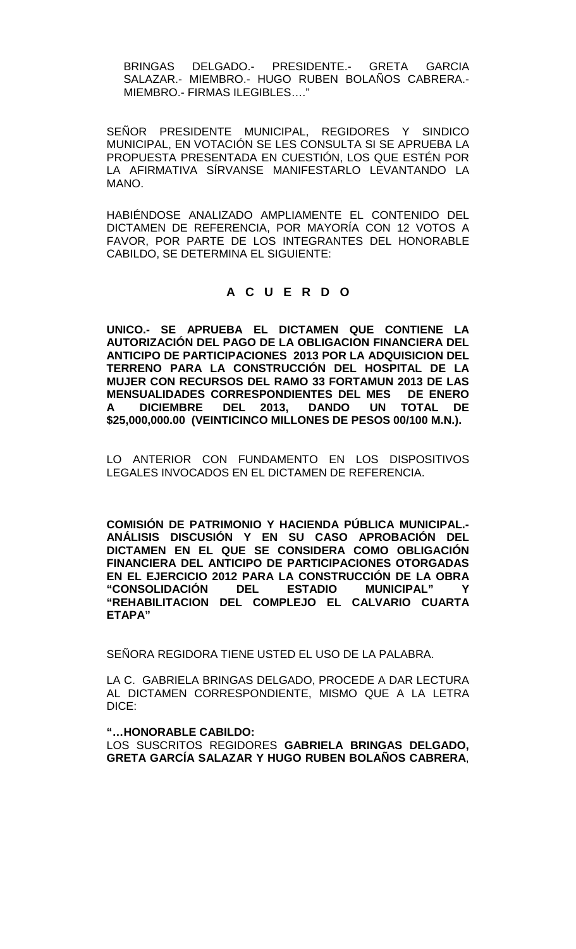BRINGAS DELGADO.- PRESIDENTE.- GRETA GARCIA SALAZAR.- MIEMBRO.- HUGO RUBEN BOLAÑOS CABRERA.- MIEMBRO.- FIRMAS ILEGIBLES…."

SEÑOR PRESIDENTE MUNICIPAL, REGIDORES Y SINDICO MUNICIPAL, EN VOTACIÓN SE LES CONSULTA SI SE APRUEBA LA PROPUESTA PRESENTADA EN CUESTIÓN, LOS QUE ESTÉN POR LA AFIRMATIVA SÍRVANSE MANIFESTARLO LEVANTANDO LA MANO.

HABIÉNDOSE ANALIZADO AMPLIAMENTE EL CONTENIDO DEL DICTAMEN DE REFERENCIA, POR MAYORÍA CON 12 VOTOS A FAVOR, POR PARTE DE LOS INTEGRANTES DEL HONORABLE CABILDO, SE DETERMINA EL SIGUIENTE:

# **A C U E R D O**

**UNICO.- SE APRUEBA EL DICTAMEN QUE CONTIENE LA AUTORIZACIÓN DEL PAGO DE LA OBLIGACION FINANCIERA DEL ANTICIPO DE PARTICIPACIONES 2013 POR LA ADQUISICION DEL TERRENO PARA LA CONSTRUCCIÓN DEL HOSPITAL DE LA MUJER CON RECURSOS DEL RAMO 33 FORTAMUN 2013 DE LAS MENSUALIDADES CORRESPONDIENTES DEL MES DE ENERO A DICIEMBRE DEL 2013, DANDO UN TOTAL DE \$25,000,000.00 (VEINTICINCO MILLONES DE PESOS 00/100 M.N.).**

LO ANTERIOR CON FUNDAMENTO EN LOS DISPOSITIVOS LEGALES INVOCADOS EN EL DICTAMEN DE REFERENCIA.

**COMISIÓN DE PATRIMONIO Y HACIENDA PÚBLICA MUNICIPAL.- ANÁLISIS DISCUSIÓN Y EN SU CASO APROBACIÓN DEL DICTAMEN EN EL QUE SE CONSIDERA COMO OBLIGACIÓN FINANCIERA DEL ANTICIPO DE PARTICIPACIONES OTORGADAS EN EL EJERCICIO 2012 PARA LA CONSTRUCCIÓN DE LA OBRA "CONSOLIDACIÓN DEL ESTADIO MUNICIPAL" Y "REHABILITACION DEL COMPLEJO EL CALVARIO CUARTA ETAPA"** 

SEÑORA REGIDORA TIENE USTED EL USO DE LA PALABRA.

LA C. GABRIELA BRINGAS DELGADO, PROCEDE A DAR LECTURA AL DICTAMEN CORRESPONDIENTE, MISMO QUE A LA LETRA DICE:

### **"…HONORABLE CABILDO:**

LOS SUSCRITOS REGIDORES **GABRIELA BRINGAS DELGADO, GRETA GARCÍA SALAZAR Y HUGO RUBEN BOLAÑOS CABRERA**,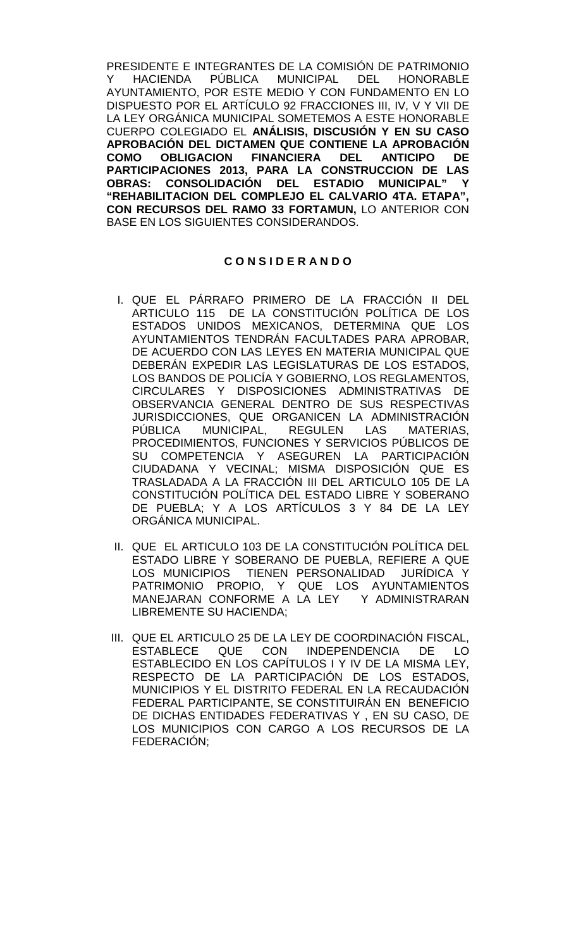PRESIDENTE E INTEGRANTES DE LA COMISIÓN DE PATRIMONIO<br>Y HACIENDA PÚBLICA MUNICIPAL DEL HONORABLE Y HACIENDA PÚBLICA MUNICIPAL DEL HONORABLE AYUNTAMIENTO, POR ESTE MEDIO Y CON FUNDAMENTO EN LO DISPUESTO POR EL ARTÍCULO 92 FRACCIONES III, IV, V Y VII DE LA LEY ORGÁNICA MUNICIPAL SOMETEMOS A ESTE HONORABLE CUERPO COLEGIADO EL **ANÁLISIS, DISCUSIÓN Y EN SU CASO APROBACIÓN DEL DICTAMEN QUE CONTIENE LA APROBACIÓN COMO OBLIGACION FINANCIERA DEL ANTICIPO DE PARTICIPACIONES 2013, PARA LA CONSTRUCCION DE LAS OBRAS: CONSOLIDACIÓN DEL ESTADIO MUNICIPAL" Y "REHABILITACION DEL COMPLEJO EL CALVARIO 4TA. ETAPA", CON RECURSOS DEL RAMO 33 FORTAMUN,** LO ANTERIOR CON BASE EN LOS SIGUIENTES CONSIDERANDOS.

# **C O N S I D E R A N D O**

- I. QUE EL PÁRRAFO PRIMERO DE LA FRACCIÓN II DEL ARTICULO 115 DE LA CONSTITUCIÓN POLÍTICA DE LOS ESTADOS UNIDOS MEXICANOS, DETERMINA QUE LOS AYUNTAMIENTOS TENDRÁN FACULTADES PARA APROBAR, DE ACUERDO CON LAS LEYES EN MATERIA MUNICIPAL QUE DEBERÁN EXPEDIR LAS LEGISLATURAS DE LOS ESTADOS, LOS BANDOS DE POLICÍA Y GOBIERNO, LOS REGLAMENTOS, CIRCULARES Y DISPOSICIONES ADMINISTRATIVAS DE OBSERVANCIA GENERAL DENTRO DE SUS RESPECTIVAS JURISDICCIONES, QUE ORGANICEN LA ADMINISTRACIÓN PÚBLICA MUNICIPAL, REGULEN LAS MATERIAS, PROCEDIMIENTOS, FUNCIONES Y SERVICIOS PÚBLICOS DE SU COMPETENCIA Y ASEGUREN LA PARTICIPACIÓN CIUDADANA Y VECINAL; MISMA DISPOSICIÓN QUE ES TRASLADADA A LA FRACCIÓN III DEL ARTICULO 105 DE LA CONSTITUCIÓN POLÍTICA DEL ESTADO LIBRE Y SOBERANO DE PUEBLA; Y A LOS ARTÍCULOS 3 Y 84 DE LA LEY ORGÁNICA MUNICIPAL.
- II. QUE EL ARTICULO 103 DE LA CONSTITUCIÓN POLÍTICA DEL ESTADO LIBRE Y SOBERANO DE PUEBLA, REFIERE A QUE LOS MUNICIPIOS TIENEN PERSONALIDAD JURÍDICA Y PATRIMONIO PROPIO, Y QUE LOS AYUNTAMIENTOS MANEJARAN CONFORME A LA LEY Y ADMINISTRARAN LIBREMENTE SU HACIENDA;
- III. QUE EL ARTICULO 25 DE LA LEY DE COORDINACIÓN FISCAL, QUE CON INDEPENDENCIA DE LO ESTABLECIDO EN LOS CAPÍTULOS I Y IV DE LA MISMA LEY, RESPECTO DE LA PARTICIPACIÓN DE LOS ESTADOS, MUNICIPIOS Y EL DISTRITO FEDERAL EN LA RECAUDACIÓN FEDERAL PARTICIPANTE, SE CONSTITUIRÁN EN BENEFICIO DE DICHAS ENTIDADES FEDERATIVAS Y , EN SU CASO, DE LOS MUNICIPIOS CON CARGO A LOS RECURSOS DE LA FEDERACIÓN;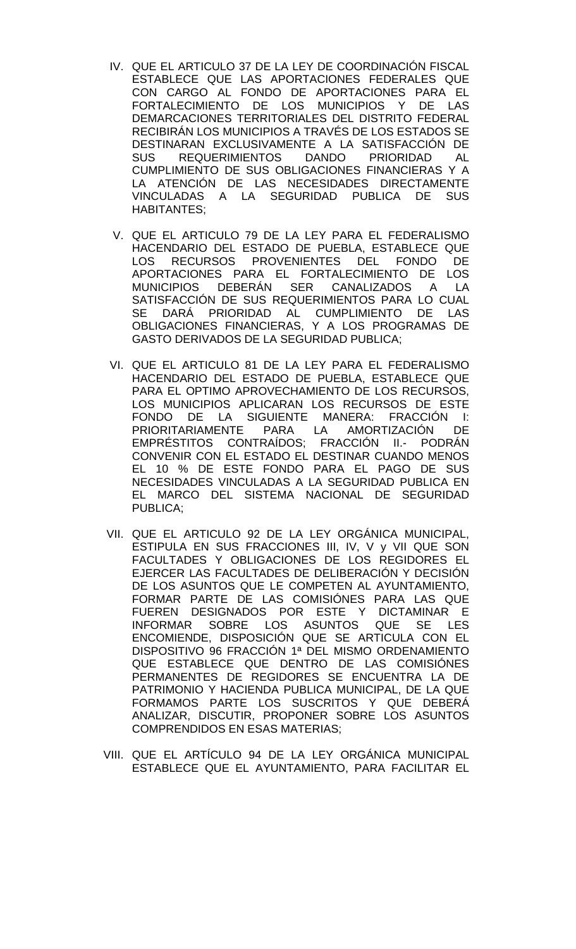- IV. QUE EL ARTICULO 37 DE LA LEY DE COORDINACIÓN FISCAL ESTABLECE QUE LAS APORTACIONES FEDERALES QUE CON CARGO AL FONDO DE APORTACIONES PARA EL FORTALECIMIENTO DE LOS MUNICIPIOS Y DE LAS DEMARCACIONES TERRITORIALES DEL DISTRITO FEDERAL RECIBIRÁN LOS MUNICIPIOS A TRAVÉS DE LOS ESTADOS SE DESTINARAN EXCLUSIVAMENTE A LA SATISFACCIÓN DE SUS REQUERIMIENTOS DANDO PRIORIDAD AL CUMPLIMIENTO DE SUS OBLIGACIONES FINANCIERAS Y A LA ATENCIÓN DE LAS NECESIDADES DIRECTAMENTE VINCULADAS A LA SEGURIDAD PUBLICA DE SUS HABITANTES;
- V. QUE EL ARTICULO 79 DE LA LEY PARA EL FEDERALISMO HACENDARIO DEL ESTADO DE PUEBLA, ESTABLECE QUE LOS RECURSOS PROVENIENTES DEL FONDO DE APORTACIONES PARA EL FORTALECIMIENTO DE LOS MUNICIPIOS DEBERÁN SER CANALIZADOS A LA SATISFACCIÓN DE SUS REQUERIMIENTOS PARA LO CUAL SE DARÁ PRIORIDAD AL CUMPLIMIENTO DE LAS OBLIGACIONES FINANCIERAS, Y A LOS PROGRAMAS DE GASTO DERIVADOS DE LA SEGURIDAD PUBLICA;
- VI. QUE EL ARTICULO 81 DE LA LEY PARA EL FEDERALISMO HACENDARIO DEL ESTADO DE PUEBLA, ESTABLECE QUE PARA EL OPTIMO APROVECHAMIENTO DE LOS RECURSOS, LOS MUNICIPIOS APLICARAN LOS RECURSOS DE ESTE FONDO DE LA SIGUIENTE MANERA: FRACCIÓN I: PRIORITARIAMENTE PARA LA AMORTIZACIÓN DE EMPRÉSTITOS CONTRAÍDOS; FRACCIÓN II.- PODRÁN CONVENIR CON EL ESTADO EL DESTINAR CUANDO MENOS EL 10 % DE ESTE FONDO PARA EL PAGO DE SUS NECESIDADES VINCULADAS A LA SEGURIDAD PUBLICA EN EL MARCO DEL SISTEMA NACIONAL DE SEGURIDAD PUBLICA;
- VII. QUE EL ARTICULO 92 DE LA LEY ORGÁNICA MUNICIPAL, ESTIPULA EN SUS FRACCIONES III, IV, V y VII QUE SON FACULTADES Y OBLIGACIONES DE LOS REGIDORES EL EJERCER LAS FACULTADES DE DELIBERACIÓN Y DECISIÓN DE LOS ASUNTOS QUE LE COMPETEN AL AYUNTAMIENTO, FORMAR PARTE DE LAS COMISIÓNES PARA LAS QUE FUEREN DESIGNADOS POR ESTE Y DICTAMINAR E INFORMAR SOBRE LOS ASUNTOS QUE SE LES ENCOMIENDE, DISPOSICIÓN QUE SE ARTICULA CON EL DISPOSITIVO 96 FRACCIÓN 1ª DEL MISMO ORDENAMIENTO QUE ESTABLECE QUE DENTRO DE LAS COMISIÓNES PERMANENTES DE REGIDORES SE ENCUENTRA LA DE PATRIMONIO Y HACIENDA PUBLICA MUNICIPAL, DE LA QUE FORMAMOS PARTE LOS SUSCRITOS Y QUE DEBERÁ ANALIZAR, DISCUTIR, PROPONER SOBRE LOS ASUNTOS COMPRENDIDOS EN ESAS MATERIAS;
- VIII. QUE EL ARTÍCULO 94 DE LA LEY ORGÁNICA MUNICIPAL ESTABLECE QUE EL AYUNTAMIENTO, PARA FACILITAR EL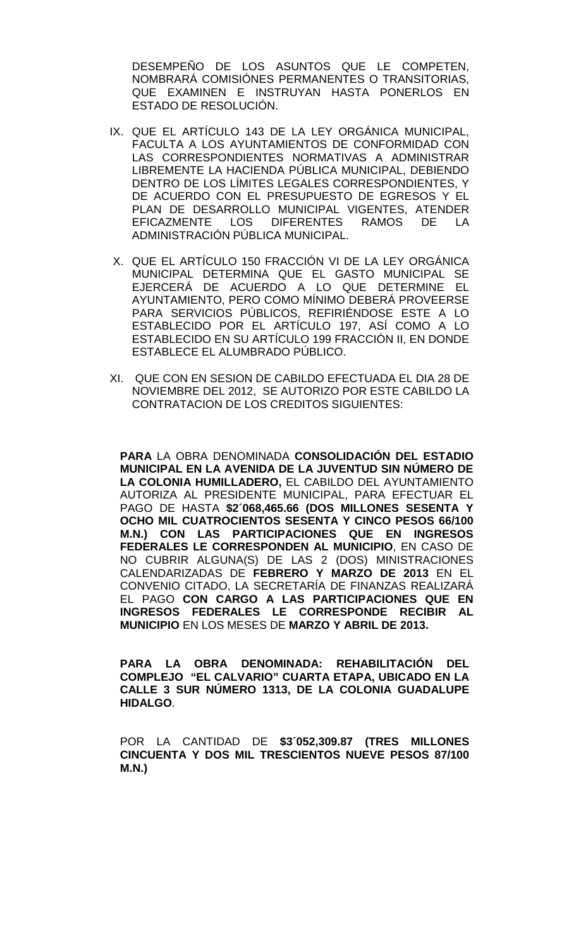DESEMPEÑO DE LOS ASUNTOS QUE LE COMPETEN, NOMBRARÁ COMISIÓNES PERMANENTES O TRANSITORIAS, QUE EXAMINEN E INSTRUYAN HASTA PONERLOS EN ESTADO DE RESOLUCIÓN.

- IX. QUE EL ARTÍCULO 143 DE LA LEY ORGÁNICA MUNICIPAL, FACULTA A LOS AYUNTAMIENTOS DE CONFORMIDAD CON LAS CORRESPONDIENTES NORMATIVAS A ADMINISTRAR LIBREMENTE LA HACIENDA PÚBLICA MUNICIPAL, DEBIENDO DENTRO DE LOS LÍMITES LEGALES CORRESPONDIENTES, Y DE ACUERDO CON EL PRESUPUESTO DE EGRESOS Y EL PLAN DE DESARROLLO MUNICIPAL VIGENTES, ATENDER<br>EFICAZMENTE LOS DIFERENTES RAMOS DE LA RAMOS DE LA ADMINISTRACIÓN PÚBLICA MUNICIPAL.
- X. QUE EL ARTÍCULO 150 FRACCIÓN VI DE LA LEY ORGÁNICA MUNICIPAL DETERMINA QUE EL GASTO MUNICIPAL SE EJERCERÁ DE ACUERDO A LO QUE DETERMINE EL AYUNTAMIENTO, PERO COMO MÍNIMO DEBERÁ PROVEERSE PARA SERVICIOS PÚBLICOS, REFIRIÉNDOSE ESTE A LO ESTABLECIDO POR EL ARTÍCULO 197, ASÍ COMO A LO ESTABLECIDO EN SU ARTÍCULO 199 FRACCIÓN II, EN DONDE ESTABLECE EL ALUMBRADO PÚBLICO.
- XI. QUE CON EN SESION DE CABILDO EFECTUADA EL DIA 28 DE NOVIEMBRE DEL 2012, SE AUTORIZO POR ESTE CABILDO LA CONTRATACION DE LOS CREDITOS SIGUIENTES:

**PARA** LA OBRA DENOMINADA **CONSOLIDACIÓN DEL ESTADIO MUNICIPAL EN LA AVENIDA DE LA JUVENTUD SIN NÚMERO DE LA COLONIA HUMILLADERO,** EL CABILDO DEL AYUNTAMIENTO AUTORIZA AL PRESIDENTE MUNICIPAL, PARA EFECTUAR EL PAGO DE HASTA **\$2´068,465.66 (DOS MILLONES SESENTA Y OCHO MIL CUATROCIENTOS SESENTA Y CINCO PESOS 66/100 M.N.) CON LAS PARTICIPACIONES QUE EN INGRESOS FEDERALES LE CORRESPONDEN AL MUNICIPIO**, EN CASO DE NO CUBRIR ALGUNA(S) DE LAS 2 (DOS) MINISTRACIONES CALENDARIZADAS DE **FEBRERO Y MARZO DE 2013** EN EL CONVENIO CITADO, LA SECRETARÍA DE FINANZAS REALIZARÁ EL PAGO **CON CARGO A LAS PARTICIPACIONES QUE EN INGRESOS FEDERALES LE CORRESPONDE RECIBIR AL MUNICIPIO** EN LOS MESES DE **MARZO Y ABRIL DE 2013.** 

**PARA LA OBRA DENOMINADA: REHABILITACIÓN DEL COMPLEJO "EL CALVARIO" CUARTA ETAPA, UBICADO EN LA CALLE 3 SUR NÚMERO 1313, DE LA COLONIA GUADALUPE HIDALGO**.

POR LA CANTIDAD DE **\$3´052,309.87 (TRES MILLONES CINCUENTA Y DOS MIL TRESCIENTOS NUEVE PESOS 87/100 M.N.)**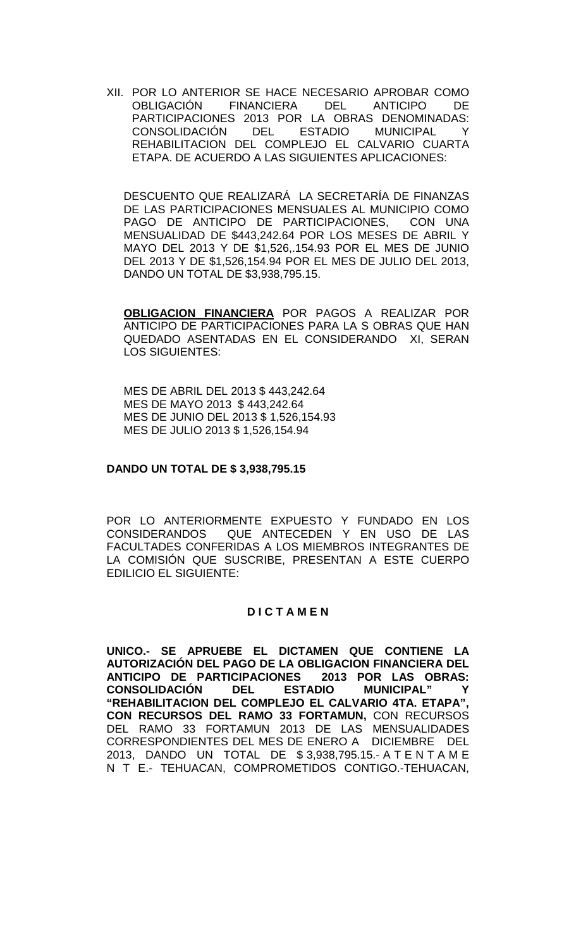XII. POR LO ANTERIOR SE HACE NECESARIO APROBAR COMO<br>OBLIGACIÓN FINANCIERA DEL ANTICIPO DE FINANCIERA DEL ANTICIPO DE PARTICIPACIONES 2013 POR LA OBRAS DENOMINADAS:<br>CONSOLIDACIÓN DEL ESTADIO MUNICIPAL Y CONSOLIDACIÓN DEL ESTADIO MUNICIPAL Y REHABILITACION DEL COMPLEJO EL CALVARIO CUARTA ETAPA. DE ACUERDO A LAS SIGUIENTES APLICACIONES:

DESCUENTO QUE REALIZARÁ LA SECRETARÍA DE FINANZAS DE LAS PARTICIPACIONES MENSUALES AL MUNICIPIO COMO PAGO DE ANTICIPO DE PARTICIPACIONES, CON UNA MENSUALIDAD DE \$443,242.64 POR LOS MESES DE ABRIL Y MAYO DEL 2013 Y DE \$1,526,.154.93 POR EL MES DE JUNIO DEL 2013 Y DE \$1,526,154.94 POR EL MES DE JULIO DEL 2013, DANDO UN TOTAL DE \$3,938,795.15.

**OBLIGACION FINANCIERA** POR PAGOS A REALIZAR POR ANTICIPO DE PARTICIPACIONES PARA LA S OBRAS QUE HAN QUEDADO ASENTADAS EN EL CONSIDERANDO XI, SERAN LOS SIGUIENTES:

MES DE ABRIL DEL 2013 \$ 443,242.64 MES DE MAYO 2013 \$ 443,242.64 MES DE JUNIO DEL 2013 \$ 1,526,154.93 MES DE JULIO 2013 \$ 1,526,154.94

### **DANDO UN TOTAL DE \$ 3,938,795.15**

POR LO ANTERIORMENTE EXPUESTO Y FUNDADO EN LOS CONSIDERANDOS QUE ANTECEDEN Y EN USO DE LAS FACULTADES CONFERIDAS A LOS MIEMBROS INTEGRANTES DE LA COMISIÓN QUE SUSCRIBE, PRESENTAN A ESTE CUERPO EDILICIO EL SIGUIENTE:

## **D I C T A M E N**

**UNICO.- SE APRUEBE EL DICTAMEN QUE CONTIENE LA AUTORIZACIÓN DEL PAGO DE LA OBLIGACION FINANCIERA DEL ANTICIPO DE PARTICIPACIONES 2013 POR LAS O<br>CONSOLIDACIÓN DEL ESTADIO MUNICIPAL" CONSOLIDACIÓN "REHABILITACION DEL COMPLEJO EL CALVARIO 4TA. ETAPA", CON RECURSOS DEL RAMO 33 FORTAMUN,** CON RECURSOS DEL RAMO 33 FORTAMUN 2013 DE LAS MENSUALIDADES CORRESPONDIENTES DEL MES DE ENERO A DICIEMBRE DEL 2013, DANDO UN TOTAL DE \$ 3,938,795.15.- A T E N T A M E N T E.- TEHUACAN, COMPROMETIDOS CONTIGO.-TEHUACAN,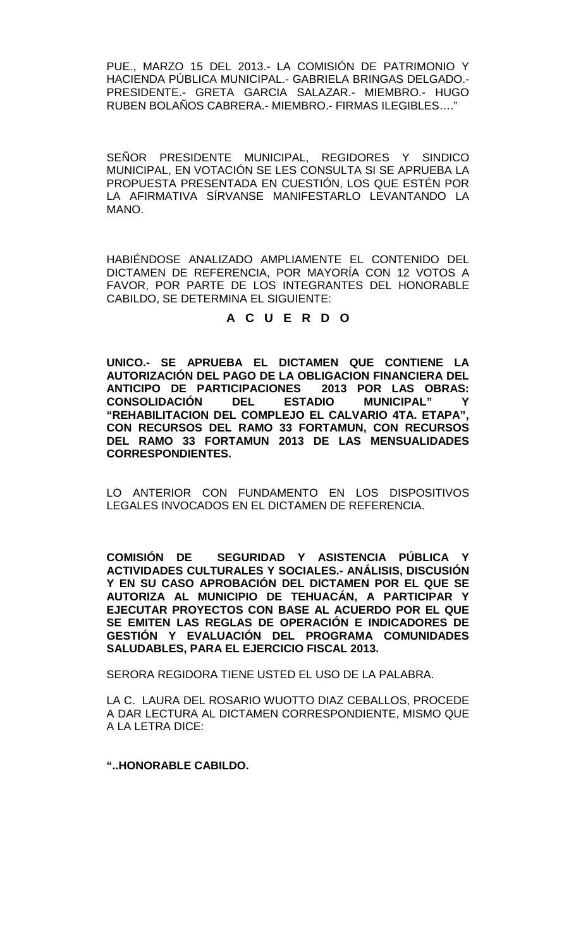PUE., MARZO 15 DEL 2013.- LA COMISIÓN DE PATRIMONIO Y HACIENDA PÚBLICA MUNICIPAL.- GABRIELA BRINGAS DELGADO.- PRESIDENTE.- GRETA GARCIA SALAZAR.- MIEMBRO.- HUGO RUBEN BOLAÑOS CABRERA.- MIEMBRO.- FIRMAS ILEGIBLES…."

SEÑOR PRESIDENTE MUNICIPAL, REGIDORES Y SINDICO MUNICIPAL, EN VOTACIÓN SE LES CONSULTA SI SE APRUEBA LA PROPUESTA PRESENTADA EN CUESTIÓN, LOS QUE ESTÉN POR LA AFIRMATIVA SÍRVANSE MANIFESTARLO LEVANTANDO LA MANO.

HABIÉNDOSE ANALIZADO AMPLIAMENTE EL CONTENIDO DEL DICTAMEN DE REFERENCIA, POR MAYORÍA CON 12 VOTOS A FAVOR, POR PARTE DE LOS INTEGRANTES DEL HONORABLE CABILDO, SE DETERMINA EL SIGUIENTE:

# **A C U E R D O**

**UNICO.- SE APRUEBA EL DICTAMEN QUE CONTIENE LA AUTORIZACIÓN DEL PAGO DE LA OBLIGACION FINANCIERA DEL ANTICIPO DE PARTICIPACIONES 2013 POR LAS O<br>CONSOLIDACIÓN DEL ESTADIO MUNICIPAL" CONSOLIDACIÓN DEL ESTADIO MUNICIPAL" Y "REHABILITACION DEL COMPLEJO EL CALVARIO 4TA. ETAPA", CON RECURSOS DEL RAMO 33 FORTAMUN, CON RECURSOS DEL RAMO 33 FORTAMUN 2013 DE LAS MENSUALIDADES CORRESPONDIENTES.**

LO ANTERIOR CON FUNDAMENTO EN LOS DISPOSITIVOS LEGALES INVOCADOS EN EL DICTAMEN DE REFERENCIA.

**COMISIÓN DE SEGURIDAD Y ASISTENCIA PÚBLICA Y ACTIVIDADES CULTURALES Y SOCIALES.- ANÁLISIS, DISCUSIÓN Y EN SU CASO APROBACIÓN DEL DICTAMEN POR EL QUE SE AUTORIZA AL MUNICIPIO DE TEHUACÁN, A PARTICIPAR Y EJECUTAR PROYECTOS CON BASE AL ACUERDO POR EL QUE SE EMITEN LAS REGLAS DE OPERACIÓN E INDICADORES DE GESTIÓN Y EVALUACIÓN DEL PROGRAMA COMUNIDADES SALUDABLES, PARA EL EJERCICIO FISCAL 2013.**

SERORA REGIDORA TIENE USTED EL USO DE LA PALABRA.

LA C. LAURA DEL ROSARIO WUOTTO DIAZ CEBALLOS, PROCEDE A DAR LECTURA AL DICTAMEN CORRESPONDIENTE, MISMO QUE A LA LETRA DICE:

**"..HONORABLE CABILDO.**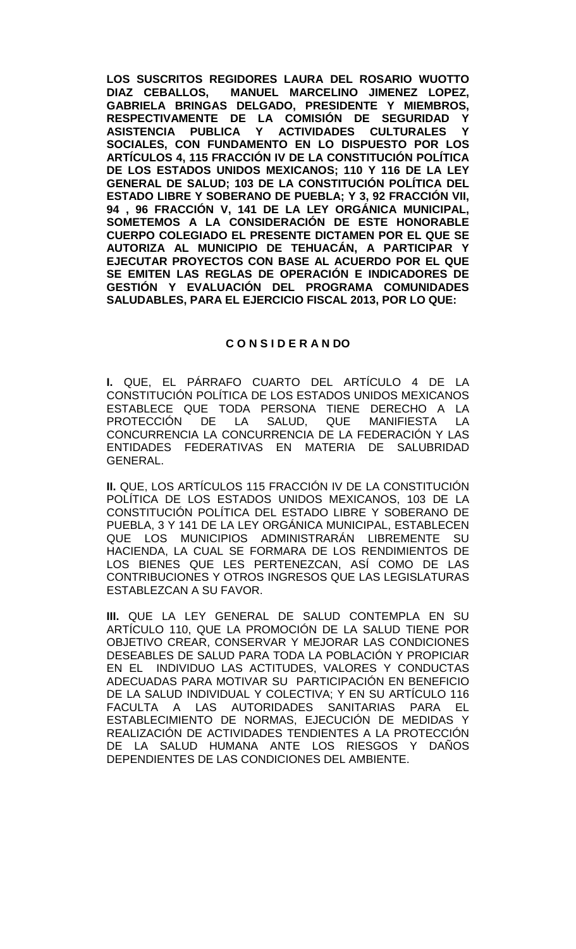**LOS SUSCRITOS REGIDORES LAURA DEL ROSARIO WUOTTO MANUEL MARCELINO JIMENEZ LOPEZ. GABRIELA BRINGAS DELGADO, PRESIDENTE Y MIEMBROS, RESPECTIVAMENTE DE LA COMISIÓN DE SEGURIDAD Y ASISTENCIA PUBLICA Y ACTIVIDADES CULTURALES Y SOCIALES, CON FUNDAMENTO EN LO DISPUESTO POR LOS ARTÍCULOS 4, 115 FRACCIÓN IV DE LA CONSTITUCIÓN POLÍTICA DE LOS ESTADOS UNIDOS MEXICANOS; 110 Y 116 DE LA LEY GENERAL DE SALUD; 103 DE LA CONSTITUCIÓN POLÍTICA DEL ESTADO LIBRE Y SOBERANO DE PUEBLA; Y 3, 92 FRACCIÓN VII, 94 , 96 FRACCIÓN V, 141 DE LA LEY ORGÁNICA MUNICIPAL, SOMETEMOS A LA CONSIDERACIÓN DE ESTE HONORABLE CUERPO COLEGIADO EL PRESENTE DICTAMEN POR EL QUE SE AUTORIZA AL MUNICIPIO DE TEHUACÁN, A PARTICIPAR Y EJECUTAR PROYECTOS CON BASE AL ACUERDO POR EL QUE SE EMITEN LAS REGLAS DE OPERACIÓN E INDICADORES DE GESTIÓN Y EVALUACIÓN DEL PROGRAMA COMUNIDADES SALUDABLES, PARA EL EJERCICIO FISCAL 2013, POR LO QUE:**

## **C O N S I D E R A N DO**

**I.** QUE, EL PÁRRAFO CUARTO DEL ARTÍCULO 4 DE LA CONSTITUCIÓN POLÍTICA DE LOS ESTADOS UNIDOS MEXICANOS ESTABLECE QUE TODA PERSONA TIENE DERECHO A LA<br>PROTECCIÓN DE LA SALUD, QUE MANIFIESTA LA PROTECCIÓN CONCURRENCIA LA CONCURRENCIA DE LA FEDERACIÓN Y LAS ENTIDADES FEDERATIVAS EN MATERIA DE SALUBRIDAD GENERAL.

**II.** QUE, LOS ARTÍCULOS 115 FRACCIÓN IV DE LA CONSTITUCIÓN POLÍTICA DE LOS ESTADOS UNIDOS MEXICANOS, 103 DE LA CONSTITUCIÓN POLÍTICA DEL ESTADO LIBRE Y SOBERANO DE PUEBLA, 3 Y 141 DE LA LEY ORGÁNICA MUNICIPAL, ESTABLECEN QUE LOS MUNICIPIOS ADMINISTRARÁN LIBREMENTE SU HACIENDA, LA CUAL SE FORMARA DE LOS RENDIMIENTOS DE LOS BIENES QUE LES PERTENEZCAN, ASÍ COMO DE LAS CONTRIBUCIONES Y OTROS INGRESOS QUE LAS LEGISLATURAS ESTABLEZCAN A SU FAVOR.

**III.** QUE LA LEY GENERAL DE SALUD CONTEMPLA EN SU ARTÍCULO 110, QUE LA PROMOCIÓN DE LA SALUD TIENE POR OBJETIVO CREAR, CONSERVAR Y MEJORAR LAS CONDICIONES DESEABLES DE SALUD PARA TODA LA POBLACIÓN Y PROPICIAR EN EL INDIVIDUO LAS ACTITUDES, VALORES Y CONDUCTAS ADECUADAS PARA MOTIVAR SU PARTICIPACIÓN EN BENEFICIO DE LA SALUD INDIVIDUAL Y COLECTIVA; Y EN SU ARTÍCULO 116 FACULTA A LAS AUTORIDADES SANITARIAS PARA EL ESTABLECIMIENTO DE NORMAS, EJECUCIÓN DE MEDIDAS Y REALIZACIÓN DE ACTIVIDADES TENDIENTES A LA PROTECCIÓN DE LA SALUD HUMANA ANTE LOS RIESGOS Y DAÑOS DEPENDIENTES DE LAS CONDICIONES DEL AMBIENTE.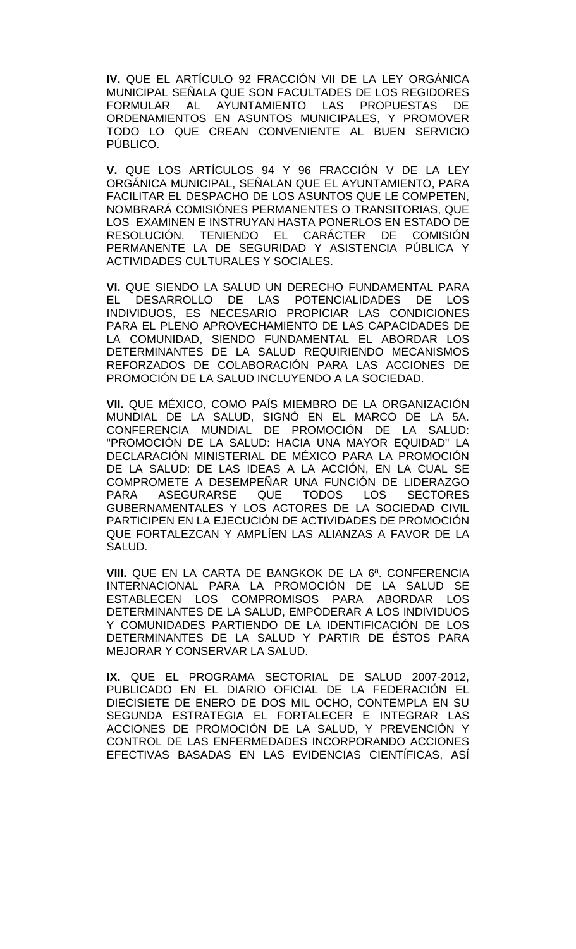**IV.** QUE EL ARTÍCULO 92 FRACCIÓN VII DE LA LEY ORGÁNICA MUNICIPAL SEÑALA QUE SON FACULTADES DE LOS REGIDORES FORMULAR AL AYUNTAMIENTO LAS PROPUESTAS DE ORDENAMIENTOS EN ASUNTOS MUNICIPALES, Y PROMOVER TODO LO QUE CREAN CONVENIENTE AL BUEN SERVICIO PÚBLICO.

**V.** QUE LOS ARTÍCULOS 94 Y 96 FRACCIÓN V DE LA LEY ORGÁNICA MUNICIPAL, SEÑALAN QUE EL AYUNTAMIENTO, PARA FACILITAR EL DESPACHO DE LOS ASUNTOS QUE LE COMPETEN, NOMBRARÁ COMISIÓNES PERMANENTES O TRANSITORIAS, QUE LOS EXAMINEN E INSTRUYAN HASTA PONERLOS EN ESTADO DE RESOLUCIÓN, TENIENDO EL CARÁCTER DE COMISIÓN PERMANENTE LA DE SEGURIDAD Y ASISTENCIA PÚBLICA Y ACTIVIDADES CULTURALES Y SOCIALES.

**VI.** QUE SIENDO LA SALUD UN DERECHO FUNDAMENTAL PARA EL DESARROLLO DE LAS POTENCIALIDADES INDIVIDUOS, ES NECESARIO PROPICIAR LAS CONDICIONES PARA EL PLENO APROVECHAMIENTO DE LAS CAPACIDADES DE LA COMUNIDAD, SIENDO FUNDAMENTAL EL ABORDAR LOS DETERMINANTES DE LA SALUD REQUIRIENDO MECANISMOS REFORZADOS DE COLABORACIÓN PARA LAS ACCIONES DE PROMOCIÓN DE LA SALUD INCLUYENDO A LA SOCIEDAD.

**VII.** QUE MÉXICO, COMO PAÍS MIEMBRO DE LA ORGANIZACIÓN MUNDIAL DE LA SALUD, SIGNÓ EN EL MARCO DE LA 5A. CONFERENCIA MUNDIAL DE PROMOCIÓN DE LA SALUD: "PROMOCIÓN DE LA SALUD: HACIA UNA MAYOR EQUIDAD" LA DECLARACIÓN MINISTERIAL DE MÉXICO PARA LA PROMOCIÓN DE LA SALUD: DE LAS IDEAS A LA ACCIÓN, EN LA CUAL SE COMPROMETE A DESEMPEÑAR UNA FUNCIÓN DE LIDERAZGO **ASEGURARSE** GUBERNAMENTALES Y LOS ACTORES DE LA SOCIEDAD CIVIL PARTICIPEN EN LA EJECUCIÓN DE ACTIVIDADES DE PROMOCIÓN QUE FORTALEZCAN Y AMPLÍEN LAS ALIANZAS A FAVOR DE LA SALUD.

**VIII.** QUE EN LA CARTA DE BANGKOK DE LA 6ª. CONFERENCIA INTERNACIONAL PARA LA PROMOCIÓN DE LA SALUD SE ESTABLECEN LOS COMPROMISOS PARA ABORDAR LOS DETERMINANTES DE LA SALUD, EMPODERAR A LOS INDIVIDUOS Y COMUNIDADES PARTIENDO DE LA IDENTIFICACIÓN DE LOS DETERMINANTES DE LA SALUD Y PARTIR DE ÉSTOS PARA MEJORAR Y CONSERVAR LA SALUD.

**IX.** QUE EL PROGRAMA SECTORIAL DE SALUD 2007-2012, PUBLICADO EN EL DIARIO OFICIAL DE LA FEDERACIÓN EL DIECISIETE DE ENERO DE DOS MIL OCHO, CONTEMPLA EN SU SEGUNDA ESTRATEGIA EL FORTALECER E INTEGRAR LAS ACCIONES DE PROMOCIÓN DE LA SALUD, Y PREVENCIÓN Y CONTROL DE LAS ENFERMEDADES INCORPORANDO ACCIONES EFECTIVAS BASADAS EN LAS EVIDENCIAS CIENTÍFICAS, ASÍ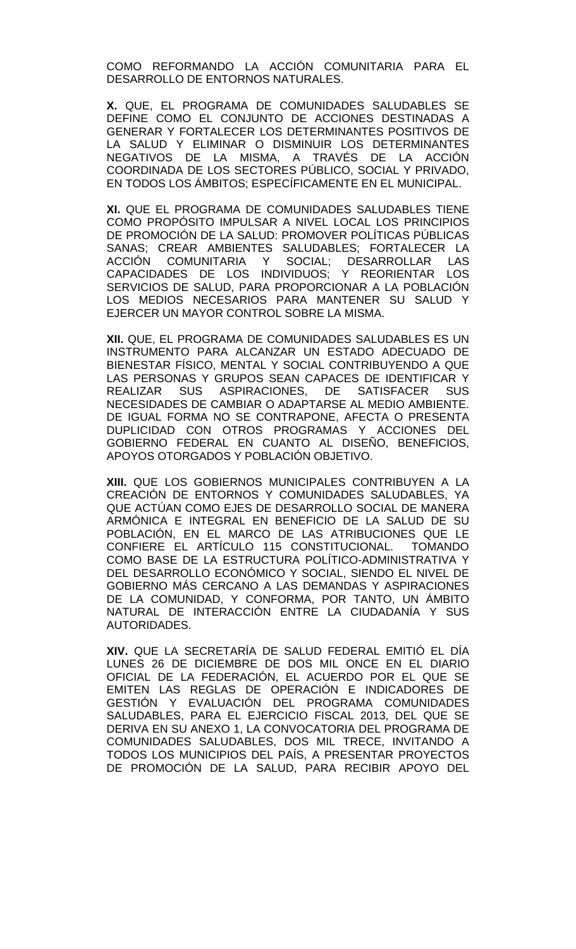COMO REFORMANDO LA ACCIÓN COMUNITARIA PARA EL DESARROLLO DE ENTORNOS NATURALES.

**X.** QUE, EL PROGRAMA DE COMUNIDADES SALUDABLES SE DEFINE COMO EL CONJUNTO DE ACCIONES DESTINADAS A GENERAR Y FORTALECER LOS DETERMINANTES POSITIVOS DE LA SALUD Y ELIMINAR O DISMINUIR LOS DETERMINANTES NEGATIVOS DE LA MISMA, A TRAVÉS DE LA ACCIÓN COORDINADA DE LOS SECTORES PÚBLICO, SOCIAL Y PRIVADO, EN TODOS LOS ÁMBITOS; ESPECÍFICAMENTE EN EL MUNICIPAL.

**XI.** QUE EL PROGRAMA DE COMUNIDADES SALUDABLES TIENE COMO PROPÓSITO IMPULSAR A NIVEL LOCAL LOS PRINCIPIOS DE PROMOCIÓN DE LA SALUD: PROMOVER POLÍTICAS PÚBLICAS SANAS; CREAR AMBIENTES SALUDABLES; FORTALECER LA<br>ACCIÓN COMUNITARIA Y SOCIAL; DESARROLLAR LAS COMUNITARIA Y SOCIAL; DESARROLLAR LAS CAPACIDADES DE LOS INDIVIDUOS; Y REORIENTAR LOS SERVICIOS DE SALUD, PARA PROPORCIONAR A LA POBLACIÓN LOS MEDIOS NECESARIOS PARA MANTENER SU SALUD Y EJERCER UN MAYOR CONTROL SOBRE LA MISMA.

**XII.** QUE, EL PROGRAMA DE COMUNIDADES SALUDABLES ES UN INSTRUMENTO PARA ALCANZAR UN ESTADO ADECUADO DE BIENESTAR FÍSICO, MENTAL Y SOCIAL CONTRIBUYENDO A QUE LAS PERSONAS Y GRUPOS SEAN CAPACES DE IDENTIFICAR Y REALIZAR SUS ASPIRACIONES, DE SATISFACER SUS NECESIDADES DE CAMBIAR O ADAPTARSE AL MEDIO AMBIENTE. DE IGUAL FORMA NO SE CONTRAPONE, AFECTA O PRESENTA DUPLICIDAD CON OTROS PROGRAMAS Y ACCIONES DEL GOBIERNO FEDERAL EN CUANTO AL DISEÑO, BENEFICIOS, APOYOS OTORGADOS Y POBLACIÓN OBJETIVO.

**XIII.** QUE LOS GOBIERNOS MUNICIPALES CONTRIBUYEN A LA CREACIÓN DE ENTORNOS Y COMUNIDADES SALUDABLES, YA QUE ACTÚAN COMO EJES DE DESARROLLO SOCIAL DE MANERA ARMÓNICA E INTEGRAL EN BENEFICIO DE LA SALUD DE SU POBLACIÓN, EN EL MARCO DE LAS ATRIBUCIONES QUE LE CONFIERE EL ARTÍCULO 115 CONSTITUCIONAL. TOMANDO COMO BASE DE LA ESTRUCTURA POLÍTICO-ADMINISTRATIVA Y DEL DESARROLLO ECONÓMICO Y SOCIAL, SIENDO EL NIVEL DE GOBIERNO MÁS CERCANO A LAS DEMANDAS Y ASPIRACIONES DE LA COMUNIDAD, Y CONFORMA, POR TANTO, UN ÁMBITO NATURAL DE INTERACCIÓN ENTRE LA CIUDADANÍA Y SUS AUTORIDADES.

**XIV.** QUE LA SECRETARÍA DE SALUD FEDERAL EMITIÓ EL DÍA LUNES 26 DE DICIEMBRE DE DOS MIL ONCE EN EL DIARIO OFICIAL DE LA FEDERACIÓN, EL ACUERDO POR EL QUE SE EMITEN LAS REGLAS DE OPERACIÓN E INDICADORES DE GESTIÓN Y EVALUACIÓN DEL PROGRAMA COMUNIDADES SALUDABLES, PARA EL EJERCICIO FISCAL 2013, DEL QUE SE DERIVA EN SU ANEXO 1, LA CONVOCATORIA DEL PROGRAMA DE COMUNIDADES SALUDABLES, DOS MIL TRECE, INVITANDO A TODOS LOS MUNICIPIOS DEL PAÍS, A PRESENTAR PROYECTOS DE PROMOCIÓN DE LA SALUD, PARA RECIBIR APOYO DEL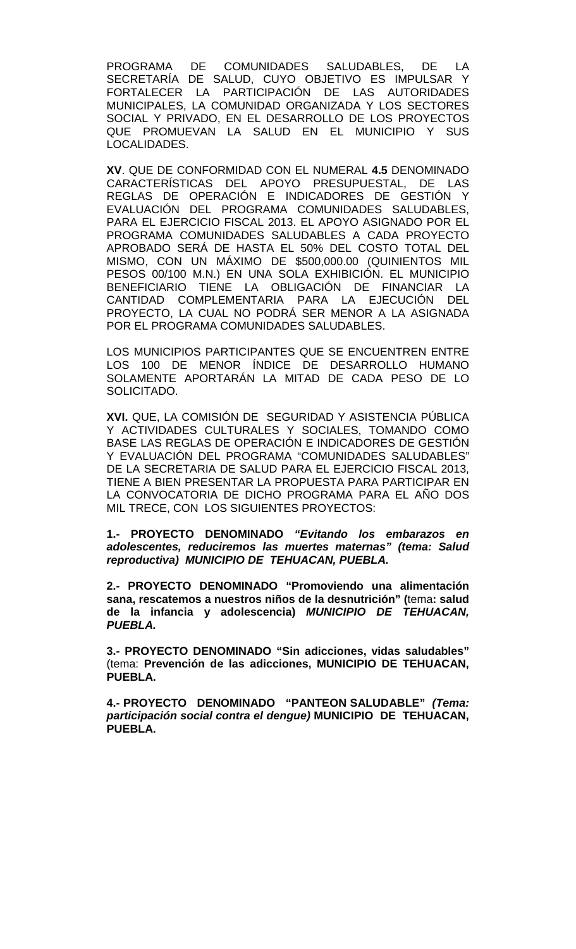PROGRAMA DE COMUNIDADES SALUDABLES, DE LA SECRETARÍA DE SALUD, CUYO OBJETIVO ES IMPULSAR Y FORTALECER LA PARTICIPACIÓN DE LAS AUTORIDADES MUNICIPALES, LA COMUNIDAD ORGANIZADA Y LOS SECTORES SOCIAL Y PRIVADO, EN EL DESARROLLO DE LOS PROYECTOS QUE PROMUEVAN LA SALUD EN EL MUNICIPIO Y SUS LOCALIDADES.

**XV**. QUE DE CONFORMIDAD CON EL NUMERAL **4.5** DENOMINADO CARACTERÍSTICAS DEL APOYO PRESUPUESTAL, DE LAS REGLAS DE OPERACIÓN E INDICADORES DE GESTIÓN Y EVALUACIÓN DEL PROGRAMA COMUNIDADES SALUDABLES, PARA EL EJERCICIO FISCAL 2013. EL APOYO ASIGNADO POR EL PROGRAMA COMUNIDADES SALUDABLES A CADA PROYECTO APROBADO SERÁ DE HASTA EL 50% DEL COSTO TOTAL DEL MISMO, CON UN MÁXIMO DE \$500,000.00 (QUINIENTOS MIL PESOS 00/100 M.N.) EN UNA SOLA EXHIBICIÓN. EL MUNICIPIO BENEFICIARIO TIENE LA OBLIGACIÓN DE FINANCIAR LA CANTIDAD COMPLEMENTARIA PARA LA EJECUCIÓN DEL PROYECTO, LA CUAL NO PODRÁ SER MENOR A LA ASIGNADA POR EL PROGRAMA COMUNIDADES SALUDABLES.

LOS MUNICIPIOS PARTICIPANTES QUE SE ENCUENTREN ENTRE LOS 100 DE MENOR ÍNDICE DE DESARROLLO HUMANO SOLAMENTE APORTARÁN LA MITAD DE CADA PESO DE LO SOLICITADO.

**XVI.** QUE, LA COMISIÓN DE SEGURIDAD Y ASISTENCIA PÚBLICA Y ACTIVIDADES CULTURALES Y SOCIALES, TOMANDO COMO BASE LAS REGLAS DE OPERACIÓN E INDICADORES DE GESTIÓN Y EVALUACIÓN DEL PROGRAMA "COMUNIDADES SALUDABLES" DE LA SECRETARIA DE SALUD PARA EL EJERCICIO FISCAL 2013, TIENE A BIEN PRESENTAR LA PROPUESTA PARA PARTICIPAR EN LA CONVOCATORIA DE DICHO PROGRAMA PARA EL AÑO DOS MIL TRECE, CON LOS SIGUIENTES PROYECTOS:

**1.- PROYECTO DENOMINADO** *"Evitando los embarazos en adolescentes, reduciremos las muertes maternas" (tema: Salud reproductiva) MUNICIPIO DE TEHUACAN, PUEBLA.*

**2.- PROYECTO DENOMINADO "Promoviendo una alimentación sana, rescatemos a nuestros niños de la desnutrición" (**tema**: salud de la infancia y adolescencia)** *MUNICIPIO DE TEHUACAN, PUEBLA.*

**3.- PROYECTO DENOMINADO "Sin adicciones, vidas saludables"**  (tema: **Prevención de las adicciones, MUNICIPIO DE TEHUACAN, PUEBLA.**

**4.- PROYECTO DENOMINADO "PANTEON SALUDABLE"** *(Tema: participación social contra el dengue)* **MUNICIPIO DE TEHUACAN, PUEBLA.**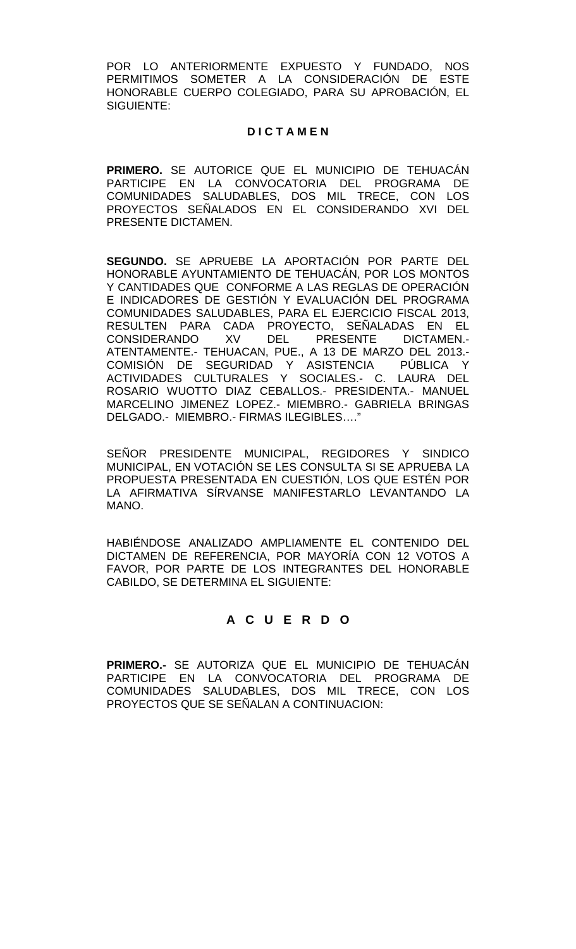POR LO ANTERIORMENTE EXPUESTO Y FUNDADO, NOS PERMITIMOS SOMETER A LA CONSIDERACIÓN DE ESTE HONORABLE CUERPO COLEGIADO, PARA SU APROBACIÓN, EL SIGUIENTE:

## **D I C T A M E N**

**PRIMERO.** SE AUTORICE QUE EL MUNICIPIO DE TEHUACÁN PARTICIPE EN LA CONVOCATORIA DEL PROGRAMA DE COMUNIDADES SALUDABLES, DOS MIL TRECE, CON LOS PROYECTOS SENALADOS EN EL CONSIDERANDO XVI DEL PRESENTE DICTAMEN.

**SEGUNDO.** SE APRUEBE LA APORTACIÓN POR PARTE DEL HONORABLE AYUNTAMIENTO DE TEHUACÁN, POR LOS MONTOS Y CANTIDADES QUE CONFORME A LAS REGLAS DE OPERACIÓN E INDICADORES DE GESTIÓN Y EVALUACIÓN DEL PROGRAMA COMUNIDADES SALUDABLES, PARA EL EJERCICIO FISCAL 2013, RESULTEN PARA CADA PROYECTO, SEÑALADAS EN EL<br>CONSIDERANDO XV DEL PRESENTE DICTAMEN.-CONSIDERANDO XV DEL PRESENTE DICTAMEN.- ATENTAMENTE.- TEHUACAN, PUE., A 13 DE MARZO DEL 2013.- COMISIÓN DE SEGURIDAD Y ASISTENCIA PÚBLICA Y ACTIVIDADES CULTURALES Y SOCIALES.- C. LAURA DEL ROSARIO WUOTTO DIAZ CEBALLOS.- PRESIDENTA.- MANUEL MARCELINO JIMENEZ LOPEZ.- MIEMBRO.- GABRIELA BRINGAS DELGADO.- MIEMBRO.- FIRMAS ILEGIBLES…."

SEÑOR PRESIDENTE MUNICIPAL, REGIDORES Y SINDICO MUNICIPAL, EN VOTACIÓN SE LES CONSULTA SI SE APRUEBA LA PROPUESTA PRESENTADA EN CUESTIÓN, LOS QUE ESTÉN POR LA AFIRMATIVA SÍRVANSE MANIFESTARLO LEVANTANDO LA MANO.

HABIÉNDOSE ANALIZADO AMPLIAMENTE EL CONTENIDO DEL DICTAMEN DE REFERENCIA, POR MAYORÍA CON 12 VOTOS A FAVOR, POR PARTE DE LOS INTEGRANTES DEL HONORABLE CABILDO, SE DETERMINA EL SIGUIENTE:

# **A C U E R D O**

**PRIMERO.-** SE AUTORIZA QUE EL MUNICIPIO DE TEHUACÁN PARTICIPE EN LA CONVOCATORIA DEL PROGRAMA DE COMUNIDADES SALUDABLES, DOS MIL TRECE, CON LOS PROYECTOS QUE SE SEÑALAN A CONTINUACION: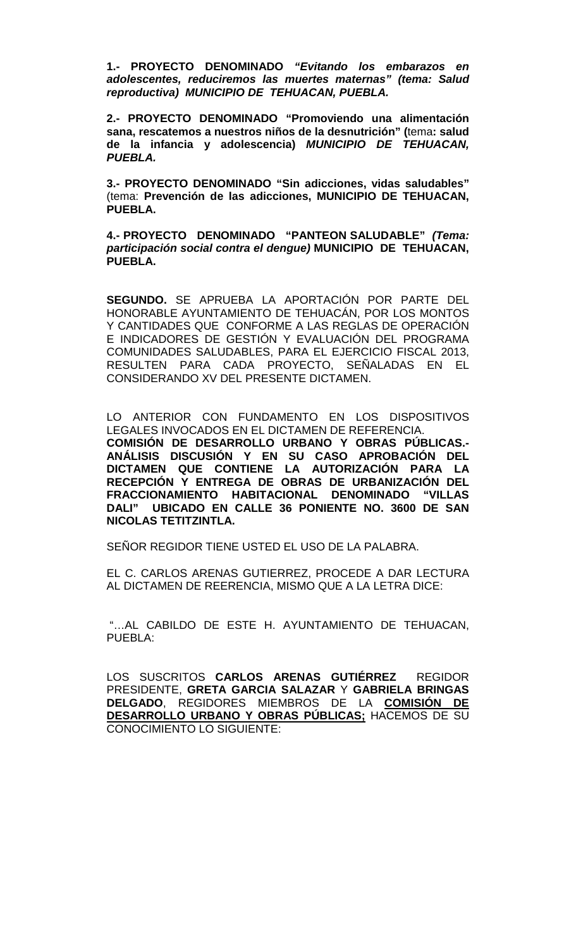**1.- PROYECTO DENOMINADO** *"Evitando los embarazos en adolescentes, reduciremos las muertes maternas" (tema: Salud reproductiva) MUNICIPIO DE TEHUACAN, PUEBLA.*

**2.- PROYECTO DENOMINADO "Promoviendo una alimentación sana, rescatemos a nuestros niños de la desnutrición" (**tema**: salud de la infancia y adolescencia)** *MUNICIPIO DE TEHUACAN, PUEBLA.*

**3.- PROYECTO DENOMINADO "Sin adicciones, vidas saludables"**  (tema: **Prevención de las adicciones, MUNICIPIO DE TEHUACAN, PUEBLA.**

**4.- PROYECTO DENOMINADO "PANTEON SALUDABLE"** *(Tema: participación social contra el dengue)* **MUNICIPIO DE TEHUACAN, PUEBLA.**

**SEGUNDO.** SE APRUEBA LA APORTACIÓN POR PARTE DEL HONORABLE AYUNTAMIENTO DE TEHUACÁN, POR LOS MONTOS Y CANTIDADES QUE CONFORME A LAS REGLAS DE OPERACIÓN E INDICADORES DE GESTIÓN Y EVALUACIÓN DEL PROGRAMA COMUNIDADES SALUDABLES, PARA EL EJERCICIO FISCAL 2013, RESULTEN PARA CADA PROYECTO, SEÑALADAS EN EL CONSIDERANDO XV DEL PRESENTE DICTAMEN.

LO ANTERIOR CON FUNDAMENTO EN LOS DISPOSITIVOS LEGALES INVOCADOS EN EL DICTAMEN DE REFERENCIA. **COMISIÓN DE DESARROLLO URBANO Y OBRAS PÚBLICAS.- ANÁLISIS DISCUSIÓN Y EN SU CASO APROBACIÓN DEL DICTAMEN QUE CONTIENE LA AUTORIZACIÓN PARA LA RECEPCIÓN Y ENTREGA DE OBRAS DE URBANIZACIÓN DEL FRACCIONAMIENTO HABITACIONAL DENOMINADO "VILLAS DALI" UBICADO EN CALLE 36 PONIENTE NO. 3600 DE SAN NICOLAS TETITZINTLA.** 

SEÑOR REGIDOR TIENE USTED EL USO DE LA PALABRA.

EL C. CARLOS ARENAS GUTIERREZ, PROCEDE A DAR LECTURA AL DICTAMEN DE REERENCIA, MISMO QUE A LA LETRA DICE:

"…AL CABILDO DE ESTE H. AYUNTAMIENTO DE TEHUACAN, PUEBLA:

LOS SUSCRITOS **CARLOS ARENAS GUTIÉRREZ** REGIDOR PRESIDENTE, **GRETA GARCIA SALAZAR** Y **GABRIELA BRINGAS DELGADO**, REGIDORES MIEMBROS DE LA **COMISIÓN DE DESARROLLO URBANO Y OBRAS PÚBLICAS;** HACEMOS DE SU CONOCIMIENTO LO SIGUIENTE: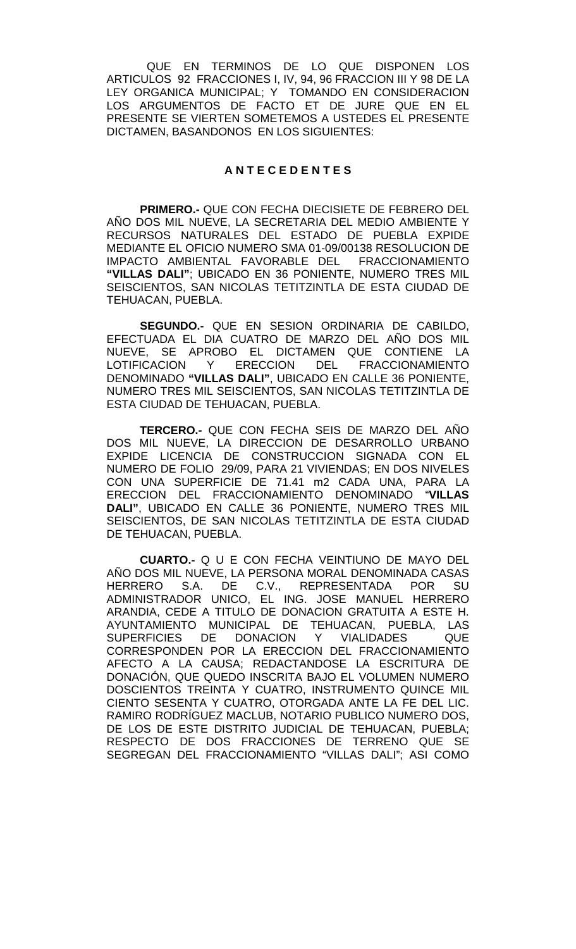QUE EN TERMINOS DE LO QUE DISPONEN LOS ARTICULOS 92 FRACCIONES I, IV, 94, 96 FRACCION III Y 98 DE LA LEY ORGANICA MUNICIPAL; Y TOMANDO EN CONSIDERACION LOS ARGUMENTOS DE FACTO ET DE JURE QUE EN EL PRESENTE SE VIERTEN SOMETEMOS A USTEDES EL PRESENTE DICTAMEN, BASANDONOS EN LOS SIGUIENTES:

### **A N T E C E D E N T E S**

**PRIMERO.-** QUE CON FECHA DIECISIETE DE FEBRERO DEL AÑO DOS MIL NUEVE, LA SECRETARIA DEL MEDIO AMBIENTE Y RECURSOS NATURALES DEL ESTADO DE PUEBLA EXPIDE MEDIANTE EL OFICIO NUMERO SMA 01-09/00138 RESOLUCION DE IMPACTO AMBIENTAL FAVORABLE DEL FRACCIONAMIENTO **"VILLAS DALI"**; UBICADO EN 36 PONIENTE, NUMERO TRES MIL SEISCIENTOS, SAN NICOLAS TETITZINTLA DE ESTA CIUDAD DE TEHUACAN, PUEBLA.

**SEGUNDO.-** QUE EN SESION ORDINARIA DE CABILDO, EFECTUADA EL DIA CUATRO DE MARZO DEL AÑO DOS MIL NUEVE, SE APROBO EL DICTAMEN QUE CONTIENE LA LOTIFICACION Y ERECCION DEL FRACCIONAMIENTO DENOMINADO **"VILLAS DALI"**, UBICADO EN CALLE 36 PONIENTE, NUMERO TRES MIL SEISCIENTOS, SAN NICOLAS TETITZINTLA DE ESTA CIUDAD DE TEHUACAN, PUEBLA.

**TERCERO.-** QUE CON FECHA SEIS DE MARZO DEL AÑO DOS MIL NUEVE, LA DIRECCION DE DESARROLLO URBANO EXPIDE LICENCIA DE CONSTRUCCION SIGNADA CON EL NUMERO DE FOLIO 29/09, PARA 21 VIVIENDAS; EN DOS NIVELES CON UNA SUPERFICIE DE 71.41 m2 CADA UNA, PARA LA ERECCION DEL FRACCIONAMIENTO DENOMINADO "**VILLAS DALI"**, UBICADO EN CALLE 36 PONIENTE, NUMERO TRES MIL SEISCIENTOS, DE SAN NICOLAS TETITZINTLA DE ESTA CIUDAD DE TEHUACAN, PUEBLA.

**CUARTO.-** Q U E CON FECHA VEINTIUNO DE MAYO DEL AÑO DOS MIL NUEVE, LA PERSONA MORAL DENOMINADA CASAS<br>HERRERO S.A. DE C.V.. REPRESENTADA POR SU S.A. DE C.V., REPRESENTADA POR SU ADMINISTRADOR UNICO, EL ING. JOSE MANUEL HERRERO ARANDIA, CEDE A TITULO DE DONACION GRATUITA A ESTE H. AYUNTAMIENTO MUNICIPAL DE TEHUACAN, PUEBLA, LAS<br>SUPERFICIES DE DONACION Y VIALIDADES QUE SUPERFICIES DE DONACION Y VIALIDADES QUE CORRESPONDEN POR LA ERECCION DEL FRACCIONAMIENTO AFECTO A LA CAUSA; REDACTANDOSE LA ESCRITURA DE DONACIÓN, QUE QUEDO INSCRITA BAJO EL VOLUMEN NUMERO DOSCIENTOS TREINTA Y CUATRO, INSTRUMENTO QUINCE MIL CIENTO SESENTA Y CUATRO, OTORGADA ANTE LA FE DEL LIC. RAMIRO RODRÍGUEZ MACLUB, NOTARIO PUBLICO NUMERO DOS, DE LOS DE ESTE DISTRITO JUDICIAL DE TEHUACAN, PUEBLA; RESPECTO DE DOS FRACCIONES DE TERRENO QUE SE SEGREGAN DEL FRACCIONAMIENTO "VILLAS DALI"; ASI COMO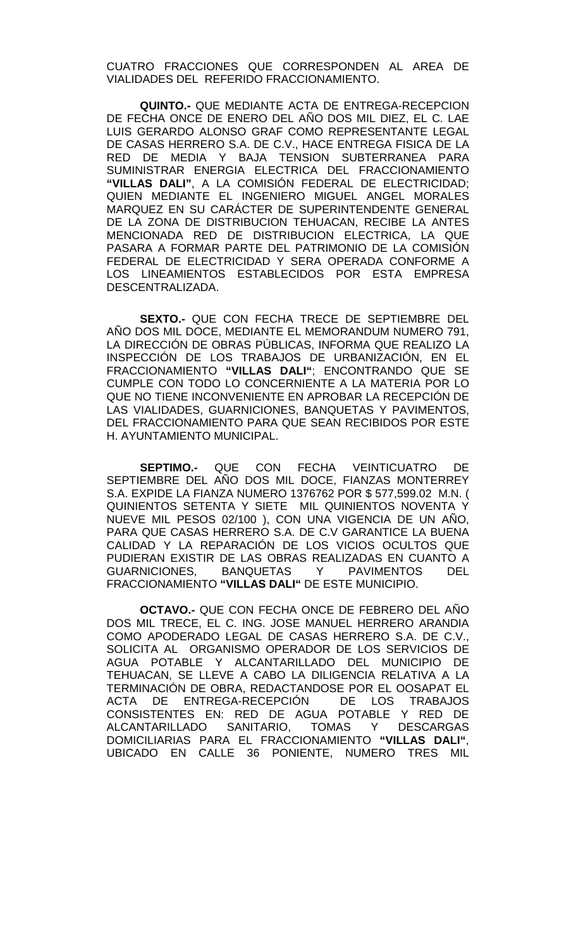CUATRO FRACCIONES QUE CORRESPONDEN AL AREA DE VIALIDADES DEL REFERIDO FRACCIONAMIENTO.

**QUINTO.-** QUE MEDIANTE ACTA DE ENTREGA-RECEPCION DE FECHA ONCE DE ENERO DEL AÑO DOS MIL DIEZ, EL C. LAE LUIS GERARDO ALONSO GRAF COMO REPRESENTANTE LEGAL DE CASAS HERRERO S.A. DE C.V., HACE ENTREGA FISICA DE LA RED DE MEDIA Y BAJA TENSION SUBTERRANEA PARA SUMINISTRAR ENERGIA ELECTRICA DEL FRACCIONAMIENTO **"VILLAS DALI"**, A LA COMISIÓN FEDERAL DE ELECTRICIDAD; QUIEN MEDIANTE EL INGENIERO MIGUEL ANGEL MORALES MARQUEZ EN SU CARÁCTER DE SUPERINTENDENTE GENERAL DE LA ZONA DE DISTRIBUCION TEHUACAN, RECIBE LA ANTES MENCIONADA RED DE DISTRIBUCION ELECTRICA, LA QUE PASARA A FORMAR PARTE DEL PATRIMONIO DE LA COMISIÓN FEDERAL DE ELECTRICIDAD Y SERA OPERADA CONFORME A LOS LINEAMIENTOS ESTABLECIDOS POR ESTA EMPRESA DESCENTRALIZADA.

**SEXTO.-** QUE CON FECHA TRECE DE SEPTIEMBRE DEL AÑO DOS MIL DOCE, MEDIANTE EL MEMORANDUM NUMERO 791, LA DIRECCIÓN DE OBRAS PÚBLICAS, INFORMA QUE REALIZO LA INSPECCIÓN DE LOS TRABAJOS DE URBANIZACIÓN, EN EL FRACCIONAMIENTO **"VILLAS DALI"**; ENCONTRANDO QUE SE CUMPLE CON TODO LO CONCERNIENTE A LA MATERIA POR LO QUE NO TIENE INCONVENIENTE EN APROBAR LA RECEPCIÓN DE LAS VIALIDADES, GUARNICIONES, BANQUETAS Y PAVIMENTOS, DEL FRACCIONAMIENTO PARA QUE SEAN RECIBIDOS POR ESTE H. AYUNTAMIENTO MUNICIPAL.

**SEPTIMO.-** QUE CON FECHA VEINTICUATRO DE SEPTIEMBRE DEL AÑO DOS MIL DOCE, FIANZAS MONTERREY S.A. EXPIDE LA FIANZA NUMERO 1376762 POR \$ 577,599.02 M.N. ( QUINIENTOS SETENTA Y SIETE MIL QUINIENTOS NOVENTA Y NUEVE MIL PESOS 02/100 ), CON UNA VIGENCIA DE UN AÑO, PARA QUE CASAS HERRERO S.A. DE C.V GARANTICE LA BUENA CALIDAD Y LA REPARACIÓN DE LOS VICIOS OCULTOS QUE PUDIERAN EXISTIR DE LAS OBRAS REALIZADAS EN CUANTO A<br>GUARNICIONES. BANQUETAS Y PAVIMENTOS DEL BANQUETAS Y PAVIMENTOS DEL FRACCIONAMIENTO **"VILLAS DALI"** DE ESTE MUNICIPIO.

**OCTAVO.-** QUE CON FECHA ONCE DE FEBRERO DEL AÑO DOS MIL TRECE, EL C. ING. JOSE MANUEL HERRERO ARANDIA COMO APODERADO LEGAL DE CASAS HERRERO S.A. DE C.V., SOLICITA AL ORGANISMO OPERADOR DE LOS SERVICIOS DE AGUA POTABLE Y ALCANTARILLADO DEL MUNICIPIO DE TEHUACAN, SE LLEVE A CABO LA DILIGENCIA RELATIVA A LA TERMINACIÓN DE OBRA, REDACTANDOSE POR EL OOSAPAT EL ACTA DE ENTREGA-RECEPCIÓN DE LOS TRABAJOS CONSISTENTES EN: RED DE AGUA POTABLE Y RED DE ALCANTARILLADO SANITARIO, TOMAS Y DESCARGAS DOMICILIARIAS PARA EL FRACCIONAMIENTO **"VILLAS DALI"**, UBICADO EN CALLE 36 PONIENTE, NUMERO TRES MIL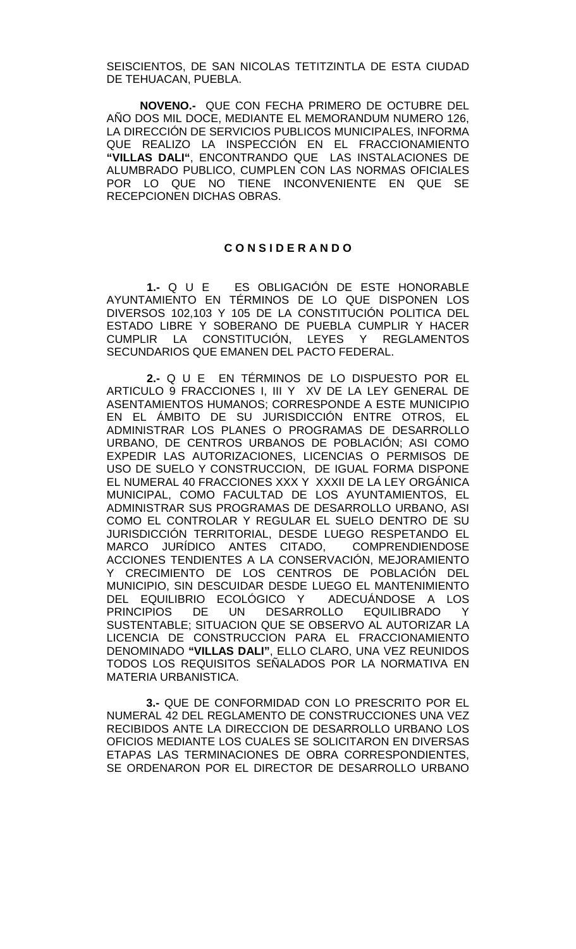SEISCIENTOS, DE SAN NICOLAS TETITZINTLA DE ESTA CIUDAD DE TEHUACAN, PUEBLA.

**NOVENO.-** QUE CON FECHA PRIMERO DE OCTUBRE DEL AÑO DOS MIL DOCE, MEDIANTE EL MEMORANDUM NUMERO 126, LA DIRECCIÓN DE SERVICIOS PUBLICOS MUNICIPALES, INFORMA QUE REALIZO LA INSPECCIÓN EN EL FRACCIONAMIENTO **"VILLAS DALI"**, ENCONTRANDO QUE LAS INSTALACIONES DE ALUMBRADO PUBLICO, CUMPLEN CON LAS NORMAS OFICIALES POR LO QUE NO TIENE INCONVENIENTE EN QUE SE RECEPCIONEN DICHAS OBRAS.

### **C O N S I D E R A N D O**

**1.-** Q U E ES OBLIGACIÓN DE ESTE HONORABLE AYUNTAMIENTO EN TÉRMINOS DE LO QUE DISPONEN LOS DIVERSOS 102,103 Y 105 DE LA CONSTITUCIÓN POLITICA DEL ESTADO LIBRE Y SOBERANO DE PUEBLA CUMPLIR Y HACER CUMPLIR LA CONSTITUCIÓN, LEYES Y REGLAMENTOS SECUNDARIOS QUE EMANEN DEL PACTO FEDERAL.

**2.-** Q U E EN TÉRMINOS DE LO DISPUESTO POR EL ARTICULO 9 FRACCIONES I, III Y XV DE LA LEY GENERAL DE ASENTAMIENTOS HUMANOS; CORRESPONDE A ESTE MUNICIPIO EN EL ÁMBITO DE SU JURISDICCIÓN ENTRE OTROS, EL ADMINISTRAR LOS PLANES O PROGRAMAS DE DESARROLLO URBANO, DE CENTROS URBANOS DE POBLACIÓN; ASI COMO EXPEDIR LAS AUTORIZACIONES, LICENCIAS O PERMISOS DE USO DE SUELO Y CONSTRUCCION, DE IGUAL FORMA DISPONE EL NUMERAL 40 FRACCIONES XXX Y XXXII DE LA LEY ORGÁNICA MUNICIPAL, COMO FACULTAD DE LOS AYUNTAMIENTOS, EL ADMINISTRAR SUS PROGRAMAS DE DESARROLLO URBANO, ASI COMO EL CONTROLAR Y REGULAR EL SUELO DENTRO DE SU JURISDICCIÓN TERRITORIAL, DESDE LUEGO RESPETANDO EL MARCO JURÍDICO ANTES CITADO, COMPRENDIENDOSE ACCIONES TENDIENTES A LA CONSERVACIÓN, MEJORAMIENTO Y CRECIMIENTO DE LOS CENTROS DE POBLACIÓN DEL MUNICIPIO, SIN DESCUIDAR DESDE LUEGO EL MANTENIMIENTO<br>DEL EQUILIBRIO ECOLÓGICO Y ADECUÁNDOSE A LOS DEL EQUILIBRIO ECOLÓGICO Y<br>PRINCIPIOS DE UN DESARF UN DESARROLLO EQUILIBRADO Y SUSTENTABLE; SITUACION QUE SE OBSERVO AL AUTORIZAR LA LICENCIA DE CONSTRUCCION PARA EL FRACCIONAMIENTO DENOMINADO **"VILLAS DALI"**, ELLO CLARO, UNA VEZ REUNIDOS TODOS LOS REQUISITOS SEÑALADOS POR LA NORMATIVA EN MATERIA URBANISTICA.

 **3.-** QUE DE CONFORMIDAD CON LO PRESCRITO POR EL NUMERAL 42 DEL REGLAMENTO DE CONSTRUCCIONES UNA VEZ RECIBIDOS ANTE LA DIRECCION DE DESARROLLO URBANO LOS OFICIOS MEDIANTE LOS CUALES SE SOLICITARON EN DIVERSAS ETAPAS LAS TERMINACIONES DE OBRA CORRESPONDIENTES, SE ORDENARON POR EL DIRECTOR DE DESARROLLO URBANO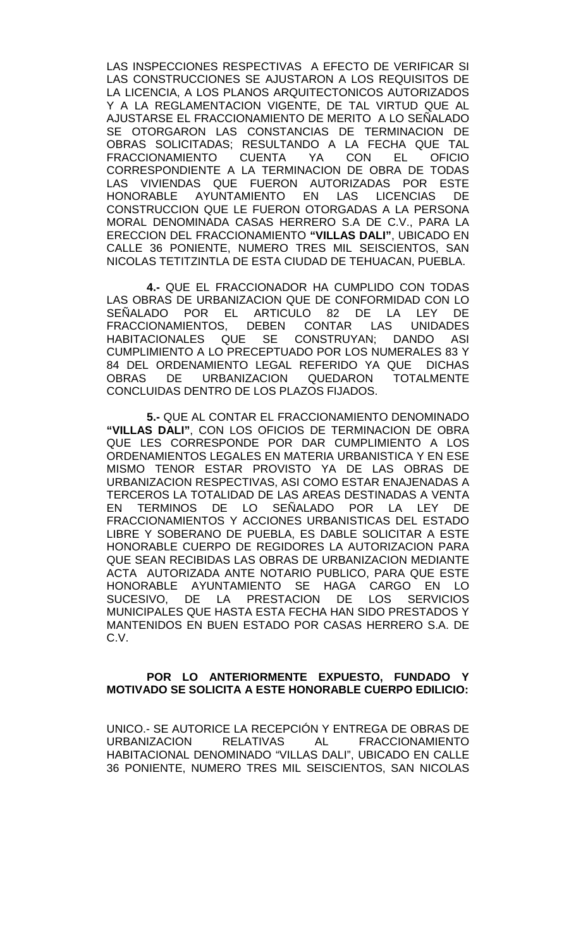LAS INSPECCIONES RESPECTIVAS A EFECTO DE VERIFICAR SI LAS CONSTRUCCIONES SE AJUSTARON A LOS REQUISITOS DE LA LICENCIA, A LOS PLANOS ARQUITECTONICOS AUTORIZADOS Y A LA REGLAMENTACION VIGENTE, DE TAL VIRTUD QUE AL AJUSTARSE EL FRACCIONAMIENTO DE MERITO A LO SEÑALADO SE OTORGARON LAS CONSTANCIAS DE TERMINACION DE OBRAS SOLICITADAS; RESULTANDO A LA FECHA QUE TAL FRACCIONAMIENTO CUENTA YA CON EL OFICIO CORRESPONDIENTE A LA TERMINACION DE OBRA DE TODAS LAS VIVIENDAS QUE FUERON AUTORIZADAS POR ESTE AYUNTAMIENTO EN LAS LICENCIAS DE CONSTRUCCION QUE LE FUERON OTORGADAS A LA PERSONA MORAL DENOMINADA CASAS HERRERO S.A DE C.V., PARA LA ERECCION DEL FRACCIONAMIENTO **"VILLAS DALI"**, UBICADO EN CALLE 36 PONIENTE, NUMERO TRES MIL SEISCIENTOS, SAN NICOLAS TETITZINTLA DE ESTA CIUDAD DE TEHUACAN, PUEBLA.

**4.-** QUE EL FRACCIONADOR HA CUMPLIDO CON TODAS LAS OBRAS DE URBANIZACION QUE DE CONFORMIDAD CON LO SEÑALADO POR EL ARTICULO 82 DE LA LEY DE FRACCIONAMIENTOS, DEBEN CONTAR LAS UNIDADES CONSTRUYAN; DANDO ASI CUMPLIMIENTO A LO PRECEPTUADO POR LOS NUMERALES 83 Y 84 DEL ORDENAMIENTO LEGAL REFERIDO YA QUE DICHAS OBRAS DE URBANIZACION QUEDARON TOTALMENTE CONCLUIDAS DENTRO DE LOS PLAZOS FIJADOS.

**5.-** QUE AL CONTAR EL FRACCIONAMIENTO DENOMINADO **"VILLAS DALI"**, CON LOS OFICIOS DE TERMINACION DE OBRA QUE LES CORRESPONDE POR DAR CUMPLIMIENTO A LOS ORDENAMIENTOS LEGALES EN MATERIA URBANISTICA Y EN ESE MISMO TENOR ESTAR PROVISTO YA DE LAS OBRAS DE URBANIZACION RESPECTIVAS, ASI COMO ESTAR ENAJENADAS A TERCEROS LA TOTALIDAD DE LAS AREAS DESTINADAS A VENTA EN TERMINOS DE LO SEÑALADO POR LA LEY DE FRACCIONAMIENTOS Y ACCIONES URBANISTICAS DEL ESTADO LIBRE Y SOBERANO DE PUEBLA, ES DABLE SOLICITAR A ESTE HONORABLE CUERPO DE REGIDORES LA AUTORIZACION PARA QUE SEAN RECIBIDAS LAS OBRAS DE URBANIZACION MEDIANTE ACTA AUTORIZADA ANTE NOTARIO PUBLICO, PARA QUE ESTE HONORABLE AYUNTAMIENTO SE HAGA CARGO EN LO SUCESIVO, DE LA PRESTACION DE LOS SERVICIOS MUNICIPALES QUE HASTA ESTA FECHA HAN SIDO PRESTADOS Y MANTENIDOS EN BUEN ESTADO POR CASAS HERRERO S.A. DE C.V.

## **POR LO ANTERIORMENTE EXPUESTO, FUNDADO Y MOTIVADO SE SOLICITA A ESTE HONORABLE CUERPO EDILICIO:**

UNICO.- SE AUTORICE LA RECEPCIÓN Y ENTREGA DE OBRAS DE URBANIZACION RELATIVAS AL FRACCIONAMIENTO HABITACIONAL DENOMINADO "VILLAS DALI", UBICADO EN CALLE 36 PONIENTE, NUMERO TRES MIL SEISCIENTOS, SAN NICOLAS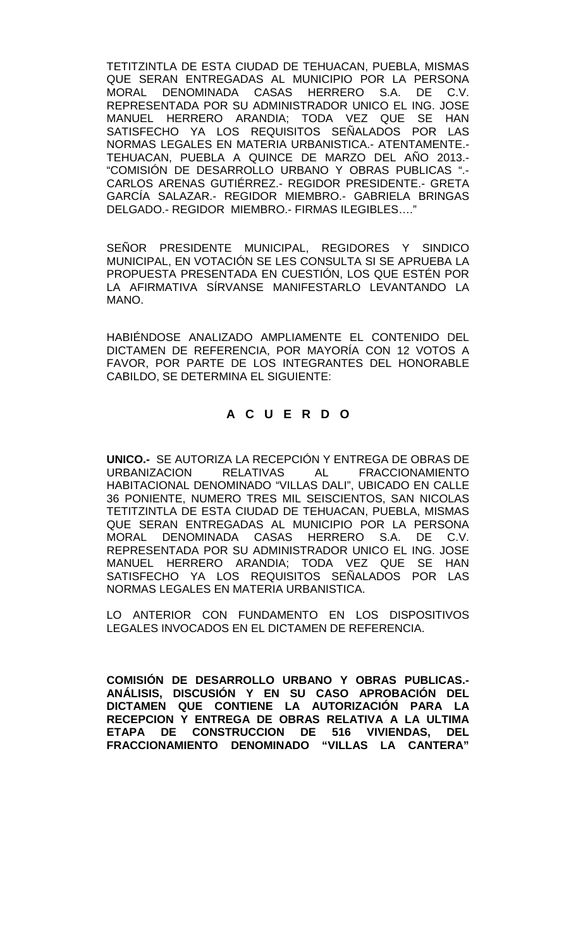TETITZINTLA DE ESTA CIUDAD DE TEHUACAN, PUEBLA, MISMAS QUE SERAN ENTREGADAS AL MUNICIPIO POR LA PERSONA<br>MORAL DENOMINADA CASAS HERRERO S.A. DE C.V. MORAL DENOMINADA CASAS HERRERO S.A. DE REPRESENTADA POR SU ADMINISTRADOR UNICO EL ING. JOSE MANUEL HERRERO ARANDIA; TODA VEZ QUE SE HAN SATISFECHO YA LOS REQUISITOS SEÑALADOS POR LAS NORMAS LEGALES EN MATERIA URBANISTICA.- ATENTAMENTE.- TEHUACAN, PUEBLA A QUINCE DE MARZO DEL AÑO 2013.- "COMISIÓN DE DESARROLLO URBANO Y OBRAS PUBLICAS ".- CARLOS ARENAS GUTIÉRREZ.- REGIDOR PRESIDENTE.- GRETA GARCÍA SALAZAR.- REGIDOR MIEMBRO.- GABRIELA BRINGAS DELGADO.- REGIDOR MIEMBRO.- FIRMAS ILEGIBLES....

SEÑOR PRESIDENTE MUNICIPAL, REGIDORES Y SINDICO MUNICIPAL, EN VOTACIÓN SE LES CONSULTA SI SE APRUEBA LA PROPUESTA PRESENTADA EN CUESTIÓN, LOS QUE ESTÉN POR LA AFIRMATIVA SÍRVANSE MANIFESTARLO LEVANTANDO LA MANO.

HABIÉNDOSE ANALIZADO AMPLIAMENTE EL CONTENIDO DEL DICTAMEN DE REFERENCIA, POR MAYORÍA CON 12 VOTOS A FAVOR, POR PARTE DE LOS INTEGRANTES DEL HONORABLE CABILDO, SE DETERMINA EL SIGUIENTE:

# **A C U E R D O**

**UNICO.-** SE AUTORIZA LA RECEPCIÓN Y ENTREGA DE OBRAS DE URBANIZACION RELATIVAS AL FRACCIONAMIENTO HABITACIONAL DENOMINADO "VILLAS DALI", UBICADO EN CALLE 36 PONIENTE, NUMERO TRES MIL SEISCIENTOS, SAN NICOLAS TETITZINTLA DE ESTA CIUDAD DE TEHUACAN, PUEBLA, MISMAS QUE SERAN ENTREGADAS AL MUNICIPIO POR LA PERSONA MORAL DENOMINADA CASAS HERRERO S.A. DE C.V. REPRESENTADA POR SU ADMINISTRADOR UNICO EL ING. JOSE MANUEL HERRERO ARANDIA; TODA VEZ QUE SE HAN SATISFECHO YA LOS REQUISITOS SEÑALADOS POR LAS NORMAS LEGALES EN MATERIA URBANISTICA.

LO ANTERIOR CON FUNDAMENTO EN LOS DISPOSITIVOS LEGALES INVOCADOS EN EL DICTAMEN DE REFERENCIA.

**COMISIÓN DE DESARROLLO URBANO Y OBRAS PUBLICAS.- ANÁLISIS, DISCUSIÓN Y EN SU CASO APROBACIÓN DEL DICTAMEN QUE CONTIENE LA AUTORIZACIÓN PARA LA RECEPCION Y ENTREGA DE OBRAS RELATIVA A LA ULTIMA ETAPA DE CONSTRUCCION DE 516 VIVIENDAS, DEL FRACCIONAMIENTO DENOMINADO "VILLAS LA CANTERA"**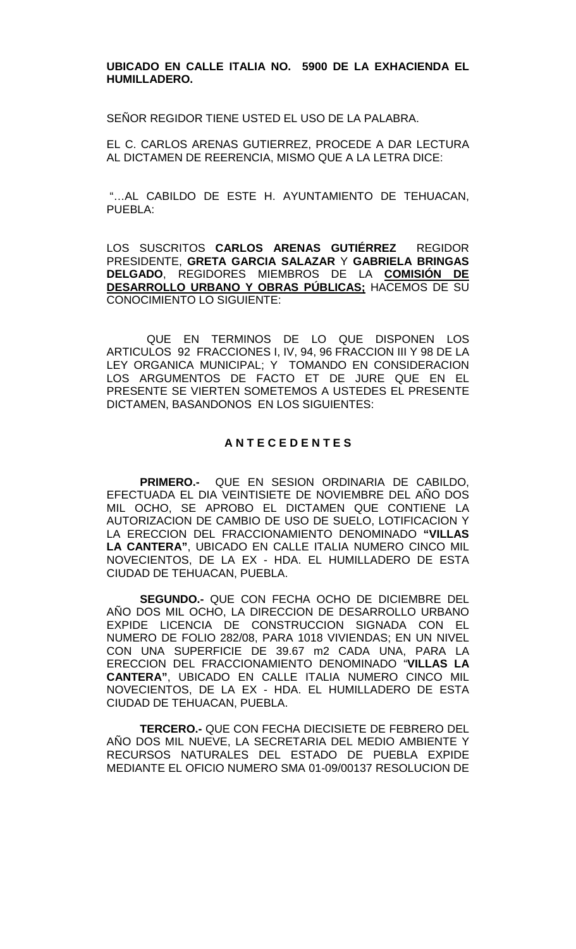### **UBICADO EN CALLE ITALIA NO. 5900 DE LA EXHACIENDA EL HUMILLADERO.**

SEÑOR REGIDOR TIENE USTED EL USO DE LA PALABRA.

EL C. CARLOS ARENAS GUTIERREZ, PROCEDE A DAR LECTURA AL DICTAMEN DE REERENCIA, MISMO QUE A LA LETRA DICE:

"…AL CABILDO DE ESTE H. AYUNTAMIENTO DE TEHUACAN, PUEBLA:

LOS SUSCRITOS **CARLOS ARENAS GUTIÉRREZ** REGIDOR PRESIDENTE, **GRETA GARCIA SALAZAR** Y **GABRIELA BRINGAS DELGADO**, REGIDORES MIEMBROS DE LA **COMISIÓN DE DESARROLLO URBANO Y OBRAS PÚBLICAS;** HACEMOS DE SU CONOCIMIENTO LO SIGUIENTE:

QUE EN TERMINOS DE LO QUE DISPONEN LOS ARTICULOS 92 FRACCIONES I, IV, 94, 96 FRACCION III Y 98 DE LA LEY ORGANICA MUNICIPAL; Y TOMANDO EN CONSIDERACION LOS ARGUMENTOS DE FACTO ET DE JURE QUE EN EL PRESENTE SE VIERTEN SOMETEMOS A USTEDES EL PRESENTE DICTAMEN, BASANDONOS EN LOS SIGUIENTES:

## **A N T E C E D E N T E S**

**PRIMERO.-** QUE EN SESION ORDINARIA DE CABILDO, EFECTUADA EL DIA VEINTISIETE DE NOVIEMBRE DEL AÑO DOS MIL OCHO, SE APROBO EL DICTAMEN QUE CONTIENE LA AUTORIZACION DE CAMBIO DE USO DE SUELO, LOTIFICACION Y LA ERECCION DEL FRACCIONAMIENTO DENOMINADO **"VILLAS LA CANTERA"**, UBICADO EN CALLE ITALIA NUMERO CINCO MIL NOVECIENTOS, DE LA EX - HDA. EL HUMILLADERO DE ESTA CIUDAD DE TEHUACAN, PUEBLA.

**SEGUNDO.-** QUE CON FECHA OCHO DE DICIEMBRE DEL AÑO DOS MIL OCHO, LA DIRECCION DE DESARROLLO URBANO EXPIDE LICENCIA DE CONSTRUCCION SIGNADA CON EL NUMERO DE FOLIO 282/08, PARA 1018 VIVIENDAS; EN UN NIVEL CON UNA SUPERFICIE DE 39.67 m2 CADA UNA, PARA LA ERECCION DEL FRACCIONAMIENTO DENOMINADO "**VILLAS LA CANTERA"**, UBICADO EN CALLE ITALIA NUMERO CINCO MIL NOVECIENTOS, DE LA EX - HDA. EL HUMILLADERO DE ESTA CIUDAD DE TEHUACAN, PUEBLA.

**TERCERO.-** QUE CON FECHA DIECISIETE DE FEBRERO DEL AÑO DOS MIL NUEVE, LA SECRETARIA DEL MEDIO AMBIENTE Y RECURSOS NATURALES DEL ESTADO DE PUEBLA EXPIDE MEDIANTE EL OFICIO NUMERO SMA 01-09/00137 RESOLUCION DE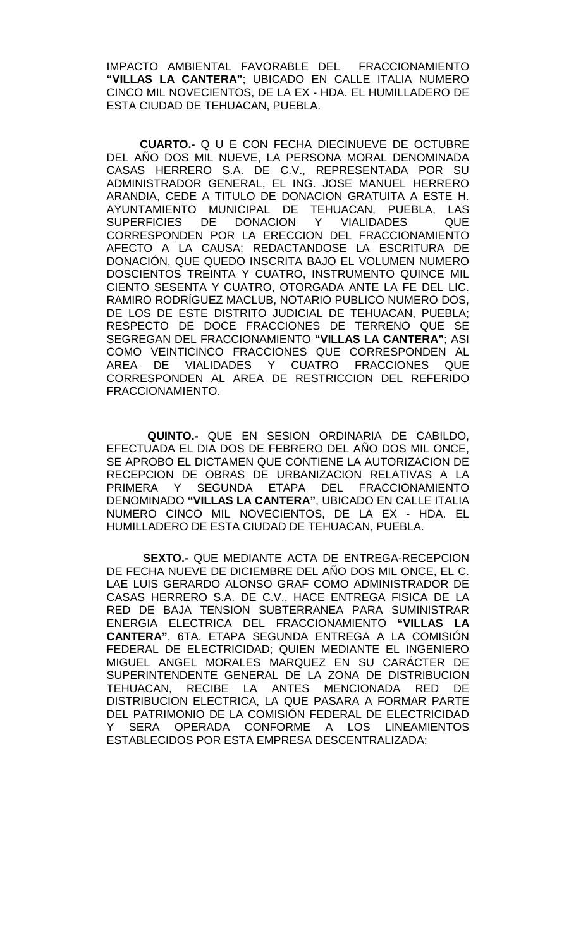IMPACTO AMBIENTAL FAVORABLE DEL FRACCIONAMIENTO **"VILLAS LA CANTERA"**; UBICADO EN CALLE ITALIA NUMERO CINCO MIL NOVECIENTOS, DE LA EX - HDA. EL HUMILLADERO DE ESTA CIUDAD DE TEHUACAN, PUEBLA.

**CUARTO.-** Q U E CON FECHA DIECINUEVE DE OCTUBRE DEL AÑO DOS MIL NUEVE, LA PERSONA MORAL DENOMINADA CASAS HERRERO S.A. DE C.V., REPRESENTADA POR SU ADMINISTRADOR GENERAL, EL ING. JOSE MANUEL HERRERO ARANDIA, CEDE A TITULO DE DONACION GRATUITA A ESTE H. AYUNTAMIENTO MUNICIPAL DE TEHUACAN, PUEBLA, LAS SUPERFICIES DE DONACION Y VIALIDADES QUE CORRESPONDEN POR LA ERECCION DEL FRACCIONAMIENTO AFECTO A LA CAUSA; REDACTANDOSE LA ESCRITURA DE DONACIÓN, QUE QUEDO INSCRITA BAJO EL VOLUMEN NUMERO DOSCIENTOS TREINTA Y CUATRO, INSTRUMENTO QUINCE MIL CIENTO SESENTA Y CUATRO, OTORGADA ANTE LA FE DEL LIC. RAMIRO RODRÍGUEZ MACLUB, NOTARIO PUBLICO NUMERO DOS, DE LOS DE ESTE DISTRITO JUDICIAL DE TEHUACAN, PUEBLA; RESPECTO DE DOCE FRACCIONES DE TERRENO QUE SE SEGREGAN DEL FRACCIONAMIENTO **"VILLAS LA CANTERA"**; ASI COMO VEINTICINCO FRACCIONES QUE CORRESPONDEN AL AREA DE VIALIDADES Y CUATRO FRACCIONES QUE CORRESPONDEN AL AREA DE RESTRICCION DEL REFERIDO FRACCIONAMIENTO.

 **QUINTO.-** QUE EN SESION ORDINARIA DE CABILDO, EFECTUADA EL DIA DOS DE FEBRERO DEL AÑO DOS MIL ONCE, SE APROBO EL DICTAMEN QUE CONTIENE LA AUTORIZACION DE RECEPCION DE OBRAS DE URBANIZACION RELATIVAS A LA PRIMERA Y SEGUNDA ETAPA DEL FRACCIONAMIENTO DENOMINADO **"VILLAS LA CANTERA"**, UBICADO EN CALLE ITALIA NUMERO CINCO MIL NOVECIENTOS, DE LA EX - HDA. EL HUMILLADERO DE ESTA CIUDAD DE TEHUACAN, PUEBLA.

**SEXTO.-** QUE MEDIANTE ACTA DE ENTREGA-RECEPCION DE FECHA NUEVE DE DICIEMBRE DEL AÑO DOS MIL ONCE, EL C. LAE LUIS GERARDO ALONSO GRAF COMO ADMINISTRADOR DE CASAS HERRERO S.A. DE C.V., HACE ENTREGA FISICA DE LA RED DE BAJA TENSION SUBTERRANEA PARA SUMINISTRAR ENERGIA ELECTRICA DEL FRACCIONAMIENTO **"VILLAS LA CANTERA"**, 6TA. ETAPA SEGUNDA ENTREGA A LA COMISIÓN FEDERAL DE ELECTRICIDAD; QUIEN MEDIANTE EL INGENIERO MIGUEL ANGEL MORALES MARQUEZ EN SU CARÁCTER DE SUPERINTENDENTE GENERAL DE LA ZONA DE DISTRIBUCION TEHUACAN, RECIBE LA ANTES MENCIONADA RED DE DISTRIBUCION ELECTRICA, LA QUE PASARA A FORMAR PARTE DEL PATRIMONIO DE LA COMISIÓN FEDERAL DE ELECTRICIDAD Y SERA OPERADA CONFORME A LOS LINEAMIENTOS ESTABLECIDOS POR ESTA EMPRESA DESCENTRALIZADA;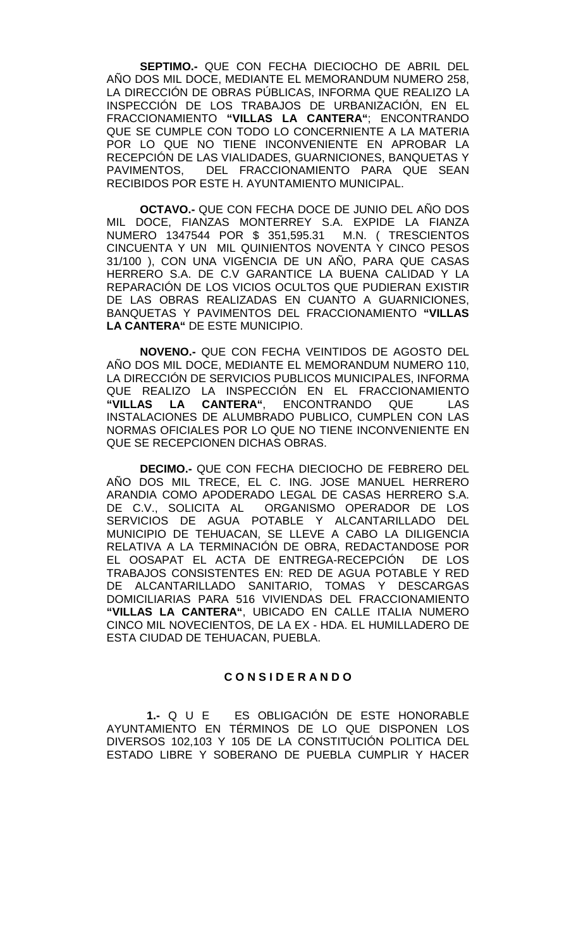**SEPTIMO.-** QUE CON FECHA DIECIOCHO DE ABRIL DEL AÑO DOS MIL DOCE, MEDIANTE EL MEMORANDUM NUMERO 258, LA DIRECCIÓN DE OBRAS PÚBLICAS, INFORMA QUE REALIZO LA INSPECCIÓN DE LOS TRABAJOS DE URBANIZACIÓN, EN EL FRACCIONAMIENTO **"VILLAS LA CANTERA"**; ENCONTRANDO QUE SE CUMPLE CON TODO LO CONCERNIENTE A LA MATERIA POR LO QUE NO TIENE INCONVENIENTE EN APROBAR LA RECEPCIÓN DE LAS VIALIDADES, GUARNICIONES, BANQUETAS Y PAVIMENTOS, DEL FRACCIONAMIENTO PARA QUE SEAN RECIBIDOS POR ESTE H. AYUNTAMIENTO MUNICIPAL.

**OCTAVO.-** QUE CON FECHA DOCE DE JUNIO DEL AÑO DOS MIL DOCE, FIANZAS MONTERREY S.A. EXPIDE LA FIANZA NUMERO 1347544 POR \$ 351,595.31 M.N. ( TRESCIENTOS CINCUENTA Y UN MIL QUINIENTOS NOVENTA Y CINCO PESOS 31/100 ), CON UNA VIGENCIA DE UN AÑO, PARA QUE CASAS HERRERO S.A. DE C.V GARANTICE LA BUENA CALIDAD Y LA REPARACIÓN DE LOS VICIOS OCULTOS QUE PUDIERAN EXISTIR DE LAS OBRAS REALIZADAS EN CUANTO A GUARNICIONES, BANQUETAS Y PAVIMENTOS DEL FRACCIONAMIENTO **"VILLAS LA CANTERA"** DE ESTE MUNICIPIO.

**NOVENO.-** QUE CON FECHA VEINTIDOS DE AGOSTO DEL AÑO DOS MIL DOCE, MEDIANTE EL MEMORANDUM NUMERO 110, LA DIRECCIÓN DE SERVICIOS PUBLICOS MUNICIPALES, INFORMA QUE REALIZO LA INSPECCIÓN EN EL FRACCIONAMIENTO<br>"VILLAS LA CANTERA", ENCONTRANDO QUE LAS LA CANTERA", ENCONTRANDO QUE LAS INSTALACIONES DE ALUMBRADO PUBLICO, CUMPLEN CON LAS NORMAS OFICIALES POR LO QUE NO TIENE INCONVENIENTE EN QUE SE RECEPCIONEN DICHAS OBRAS.

**DECIMO.-** QUE CON FECHA DIECIOCHO DE FEBRERO DEL AÑO DOS MIL TRECE, EL C. ING. JOSE MANUEL HERRERO ARANDIA COMO APODERADO LEGAL DE CASAS HERRERO S.A. DE C.V., SOLICITA AL ORGANISMO OPERADOR DE LOS SERVICIOS DE AGUA POTABLE Y ALCANTARILLADO DEL MUNICIPIO DE TEHUACAN, SE LLEVE A CABO LA DILIGENCIA RELATIVA A LA TERMINACIÓN DE OBRA, REDACTANDOSE POR EL OOSAPAT EL ACTA DE ENTREGA-RECEPCIÓN DE LOS TRABAJOS CONSISTENTES EN: RED DE AGUA POTABLE Y RED DE ALCANTARILLADO SANITARIO, TOMAS Y DESCARGAS DOMICILIARIAS PARA 516 VIVIENDAS DEL FRACCIONAMIENTO **"VILLAS LA CANTERA"**, UBICADO EN CALLE ITALIA NUMERO CINCO MIL NOVECIENTOS, DE LA EX - HDA. EL HUMILLADERO DE ESTA CIUDAD DE TEHUACAN, PUEBLA.

### **C O N S I D E R A N D O**

**1.-** Q U E ES OBLIGACIÓN DE ESTE HONORABLE AYUNTAMIENTO EN TÉRMINOS DE LO QUE DISPONEN LOS DIVERSOS 102,103 Y 105 DE LA CONSTITUCIÓN POLITICA DEL ESTADO LIBRE Y SOBERANO DE PUEBLA CUMPLIR Y HACER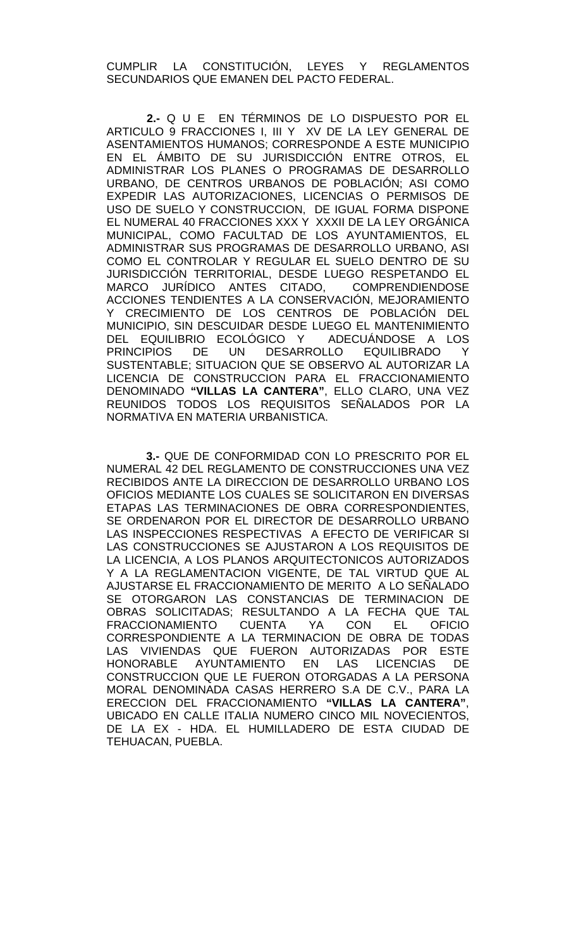CUMPLIR LA CONSTITUCIÓN, LEYES Y REGLAMENTOS SECUNDARIOS QUE EMANEN DEL PACTO FEDERAL.

**2.-** Q U E EN TÉRMINOS DE LO DISPUESTO POR EL ARTICULO 9 FRACCIONES I, III Y XV DE LA LEY GENERAL DE ASENTAMIENTOS HUMANOS; CORRESPONDE A ESTE MUNICIPIO EN EL ÁMBITO DE SU JURISDICCIÓN ENTRE OTROS, EL ADMINISTRAR LOS PLANES O PROGRAMAS DE DESARROLLO URBANO, DE CENTROS URBANOS DE POBLACIÓN; ASI COMO EXPEDIR LAS AUTORIZACIONES, LICENCIAS O PERMISOS DE USO DE SUELO Y CONSTRUCCION, DE IGUAL FORMA DISPONE EL NUMERAL 40 FRACCIONES XXX Y XXXII DE LA LEY ORGÁNICA MUNICIPAL, COMO FACULTAD DE LOS AYUNTAMIENTOS, EL ADMINISTRAR SUS PROGRAMAS DE DESARROLLO URBANO, ASI COMO EL CONTROLAR Y REGULAR EL SUELO DENTRO DE SU JURISDICCIÓN TERRITORIAL, DESDE LUEGO RESPETANDO EL MARCO JURÍDICO ANTES CITADO, COMPRENDIENDOSE ACCIONES TENDIENTES A LA CONSERVACIÓN, MEJORAMIENTO Y CRECIMIENTO DE LOS CENTROS DE POBLACIÓN DEL MUNICIPIO, SIN DESCUIDAR DESDE LUEGO EL MANTENIMIENTO DEL EQUILIBRIO ECOLÓGICO Y ADECUÁNDOSE A LOS PRINCIPIOS DE UN DESARROLLO EQUILIBRADO Y SUSTENTABLE; SITUACION QUE SE OBSERVO AL AUTORIZAR LA LICENCIA DE CONSTRUCCION PARA EL FRACCIONAMIENTO DENOMINADO **"VILLAS LA CANTERA"**, ELLO CLARO, UNA VEZ REUNIDOS TODOS LOS REQUISITOS SENALADOS POR LA NORMATIVA EN MATERIA URBANISTICA.

 **3.-** QUE DE CONFORMIDAD CON LO PRESCRITO POR EL NUMERAL 42 DEL REGLAMENTO DE CONSTRUCCIONES UNA VEZ RECIBIDOS ANTE LA DIRECCION DE DESARROLLO URBANO LOS OFICIOS MEDIANTE LOS CUALES SE SOLICITARON EN DIVERSAS ETAPAS LAS TERMINACIONES DE OBRA CORRESPONDIENTES, SE ORDENARON POR EL DIRECTOR DE DESARROLLO URBANO LAS INSPECCIONES RESPECTIVAS A EFECTO DE VERIFICAR SI LAS CONSTRUCCIONES SE AJUSTARON A LOS REQUISITOS DE LA LICENCIA, A LOS PLANOS ARQUITECTONICOS AUTORIZADOS Y A LA REGLAMENTACION VIGENTE, DE TAL VIRTUD QUE AL AJUSTARSE EL FRACCIONAMIENTO DE MERITO A LO SEÑALADO SE OTORGARON LAS CONSTANCIAS DE TERMINACION DE OBRAS SOLICITADAS; RESULTANDO A LA FECHA QUE TAL<br>FRACCIONAMIENTO CUENTA YA CON EL OFICIO FRACCIONAMIENTO CUENTA YA CON EL CORRESPONDIENTE A LA TERMINACION DE OBRA DE TODAS LAS VIVIENDAS QUE FUERON AUTORIZADAS POR ESTE HONORABLE AYUNTAMIENTO EN LAS LICENCIAS DE CONSTRUCCION QUE LE FUERON OTORGADAS A LA PERSONA MORAL DENOMINADA CASAS HERRERO S.A DE C.V., PARA LA ERECCION DEL FRACCIONAMIENTO **"VILLAS LA CANTERA"**, UBICADO EN CALLE ITALIA NUMERO CINCO MIL NOVECIENTOS, DE LA EX - HDA. EL HUMILLADERO DE ESTA CIUDAD DE TEHUACAN, PUEBLA.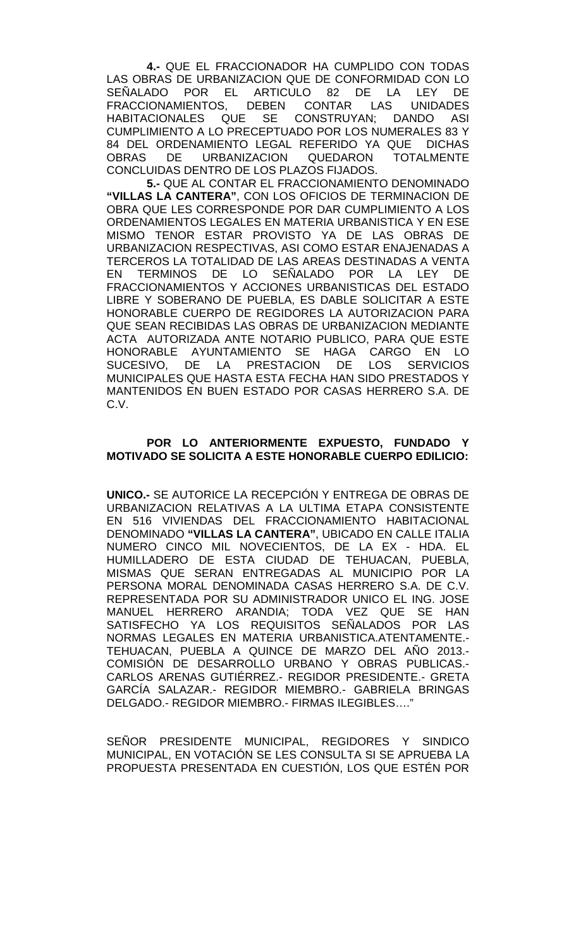**4.-** QUE EL FRACCIONADOR HA CUMPLIDO CON TODAS LAS OBRAS DE URBANIZACION QUE DE CONFORMIDAD CON LO<br>SEÑALADO POR EL ARTICULO 82 DE LA LEY DE EL ARTICULO 82 DE LA LEY DE<br>OS. DEBEN CONTAR LAS UNIDADES FRACCIONAMIENTOS,<br>HABITACIONALES QI QUE SE CONSTRUYAN; DANDO ASI CUMPLIMIENTO A LO PRECEPTUADO POR LOS NUMERALES 83 Y 84 DEL ORDENAMIENTO LEGAL REFERIDO YA QUE DICHAS OBRAS DE URBANIZACION QUEDARON TOTALMENTE CONCLUIDAS DENTRO DE LOS PLAZOS FIJADOS.

**5.-** QUE AL CONTAR EL FRACCIONAMIENTO DENOMINADO **"VILLAS LA CANTERA"**, CON LOS OFICIOS DE TERMINACION DE OBRA QUE LES CORRESPONDE POR DAR CUMPLIMIENTO A LOS ORDENAMIENTOS LEGALES EN MATERIA URBANISTICA Y EN ESE MISMO TENOR ESTAR PROVISTO YA DE LAS OBRAS DE URBANIZACION RESPECTIVAS, ASI COMO ESTAR ENAJENADAS A TERCEROS LA TOTALIDAD DE LAS AREAS DESTINADAS A VENTA EN TERMINOS DE LO SEÑALADO POR LA LEY DE FRACCIONAMIENTOS Y ACCIONES URBANISTICAS DEL ESTADO LIBRE Y SOBERANO DE PUEBLA, ES DABLE SOLICITAR A ESTE HONORABLE CUERPO DE REGIDORES LA AUTORIZACION PARA QUE SEAN RECIBIDAS LAS OBRAS DE URBANIZACION MEDIANTE ACTA AUTORIZADA ANTE NOTARIO PUBLICO, PARA QUE ESTE HONORABLE AYUNTAMIENTO SE HAGA CARGO EN LO SUCESIVO, DE LA PRESTACION DE MUNICIPALES QUE HASTA ESTA FECHA HAN SIDO PRESTADOS Y MANTENIDOS EN BUEN ESTADO POR CASAS HERRERO S.A. DE C.V.

## **POR LO ANTERIORMENTE EXPUESTO, FUNDADO Y MOTIVADO SE SOLICITA A ESTE HONORABLE CUERPO EDILICIO:**

**UNICO.-** SE AUTORICE LA RECEPCIÓN Y ENTREGA DE OBRAS DE URBANIZACION RELATIVAS A LA ULTIMA ETAPA CONSISTENTE EN 516 VIVIENDAS DEL FRACCIONAMIENTO HABITACIONAL DENOMINADO **"VILLAS LA CANTERA"**, UBICADO EN CALLE ITALIA NUMERO CINCO MIL NOVECIENTOS, DE LA EX - HDA. EL HUMILLADERO DE ESTA CIUDAD DE TEHUACAN, PUEBLA, MISMAS QUE SERAN ENTREGADAS AL MUNICIPIO POR LA PERSONA MORAL DENOMINADA CASAS HERRERO S.A. DE C.V. REPRESENTADA POR SU ADMINISTRADOR UNICO EL ING. JOSE MANUEL HERRERO ARANDIA; TODA VEZ QUE SE HAN SATISFECHO YA LOS REQUISITOS SEÑALADOS POR LAS NORMAS LEGALES EN MATERIA URBANISTICA.ATENTAMENTE.- TEHUACAN, PUEBLA A QUINCE DE MARZO DEL AÑO 2013.- COMISIÓN DE DESARROLLO URBANO Y OBRAS PUBLICAS.- CARLOS ARENAS GUTIÉRREZ.- REGIDOR PRESIDENTE.- GRETA GARCÍA SALAZAR.- REGIDOR MIEMBRO.- GABRIELA BRINGAS DELGADO.- REGIDOR MIEMBRO.- FIRMAS ILEGIBLES…."

SEÑOR PRESIDENTE MUNICIPAL, REGIDORES Y SINDICO MUNICIPAL, EN VOTACIÓN SE LES CONSULTA SI SE APRUEBA LA PROPUESTA PRESENTADA EN CUESTIÓN, LOS QUE ESTÉN POR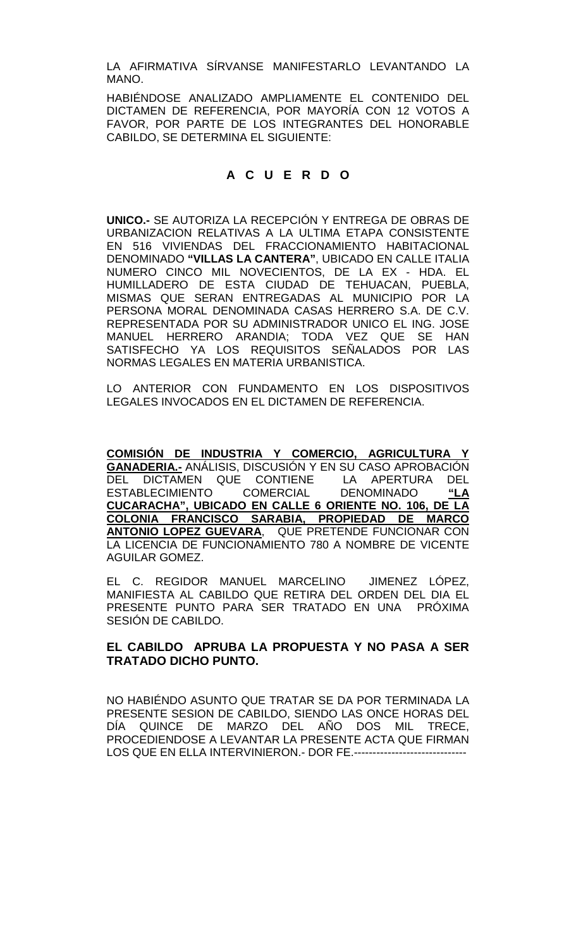LA AFIRMATIVA SÍRVANSE MANIFESTARLO LEVANTANDO LA MANO.

HABIÉNDOSE ANALIZADO AMPLIAMENTE EL CONTENIDO DEL DICTAMEN DE REFERENCIA, POR MAYORÍA CON 12 VOTOS A FAVOR, POR PARTE DE LOS INTEGRANTES DEL HONORABLE CABILDO, SE DETERMINA EL SIGUIENTE:

# **A C U E R D O**

**UNICO.-** SE AUTORIZA LA RECEPCIÓN Y ENTREGA DE OBRAS DE URBANIZACION RELATIVAS A LA ULTIMA ETAPA CONSISTENTE EN 516 VIVIENDAS DEL FRACCIONAMIENTO HABITACIONAL DENOMINADO **"VILLAS LA CANTERA"**, UBICADO EN CALLE ITALIA NUMERO CINCO MIL NOVECIENTOS, DE LA EX - HDA. EL HUMILLADERO DE ESTA CIUDAD DE TEHUACAN, PUEBLA, MISMAS QUE SERAN ENTREGADAS AL MUNICIPIO POR LA PERSONA MORAL DENOMINADA CASAS HERRERO S.A. DE C.V. REPRESENTADA POR SU ADMINISTRADOR UNICO EL ING. JOSE MANUEL HERRERO ARANDIA; TODA VEZ QUE SE HAN SATISFECHO YA LOS REQUISITOS SEÑALADOS POR LAS NORMAS LEGALES EN MATERIA URBANISTICA.

LO ANTERIOR CON FUNDAMENTO EN LOS DISPOSITIVOS LEGALES INVOCADOS EN EL DICTAMEN DE REFERENCIA.

**COMISIÓN DE INDUSTRIA Y COMERCIO, AGRICULTURA Y GANADERIA.-** ANÁLISIS, DISCUSIÓN Y EN SU CASO APROBACIÓN DEL DICTAMEN QUE CONTIENE LA APERTURA DEL ESTABLECIMIENTO COMERCIAL DENOMINADO **"LA CUCARACHA", UBICADO EN CALLE 6 ORIENTE NO. 106, DE LA COLONIA FRANCISCO SARABIA, PROPIEDAD DE MARCO ANTONIO LOPEZ GUEVARA**, QUE PRETENDE FUNCIONAR CON LA LICENCIA DE FUNCIONAMIENTO 780 A NOMBRE DE VICENTE AGUILAR GOMEZ.

EL C. REGIDOR MANUEL MARCELINO JIMENEZ LÓPEZ, MANIFIESTA AL CABILDO QUE RETIRA DEL ORDEN DEL DIA EL PRESENTE PUNTO PARA SER TRATADO EN UNA PRÓXIMA SESIÓN DE CABILDO.

# **EL CABILDO APRUBA LA PROPUESTA Y NO PASA A SER TRATADO DICHO PUNTO.**

NO HABIÉNDO ASUNTO QUE TRATAR SE DA POR TERMINADA LA PRESENTE SESION DE CABILDO, SIENDO LAS ONCE HORAS DEL DÍA QUINCE DE MARZO DEL AÑO DOS MIL TRECE, PROCEDIENDOSE A LEVANTAR LA PRESENTE ACTA QUE FIRMAN LOS QUE EN ELLA INTERVINIERON.- DOR FE.------------------------------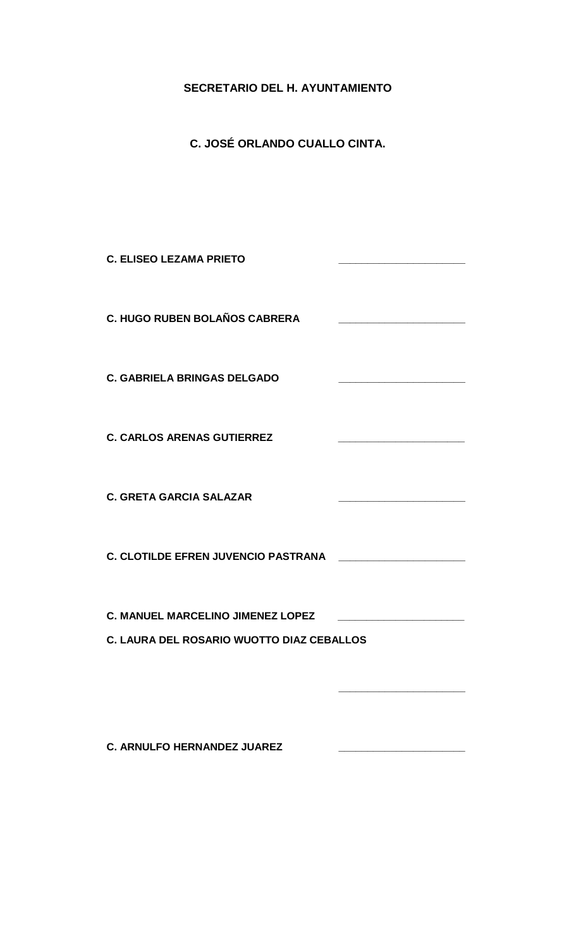# **SECRETARIO DEL H. AYUNTAMIENTO**

**C. JOSÉ ORLANDO CUALLO CINTA.**

| <b>C. ELISEO LEZAMA PRIETO</b>             |  |
|--------------------------------------------|--|
| <b>C. HUGO RUBEN BOLAÑOS CABRERA</b>       |  |
| <b>C. GABRIELA BRINGAS DELGADO</b>         |  |
| <b>C. CARLOS ARENAS GUTIERREZ</b>          |  |
| <b>C. GRETA GARCIA SALAZAR</b>             |  |
| <b>C. CLOTILDE EFREN JUVENCIO PASTRANA</b> |  |
| <b>C. MANUEL MARCELINO JIMENEZ LOPEZ</b>   |  |
| C. LAURA DEL ROSARIO WUOTTO DIAZ CEBALLOS  |  |
|                                            |  |

**C. ARNULFO HERNANDEZ JUAREZ \_\_\_\_\_\_\_\_\_\_\_\_\_\_\_\_\_\_\_\_\_\_**